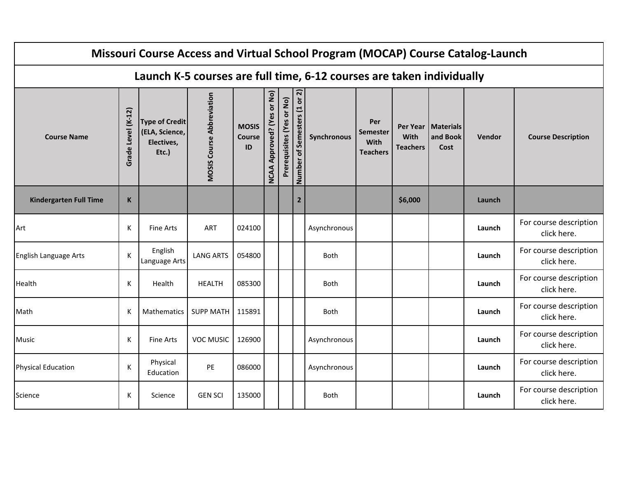|                               |                    |                                                                |                                  |                                     |                                         |                           |                              | Missouri Course Access and Virtual School Program (MOCAP) Course Catalog-Launch |                                            |                         |                                          |        |                                       |
|-------------------------------|--------------------|----------------------------------------------------------------|----------------------------------|-------------------------------------|-----------------------------------------|---------------------------|------------------------------|---------------------------------------------------------------------------------|--------------------------------------------|-------------------------|------------------------------------------|--------|---------------------------------------|
|                               |                    |                                                                |                                  |                                     |                                         |                           |                              | Launch K-5 courses are full time, 6-12 courses are taken individually           |                                            |                         |                                          |        |                                       |
| <b>Course Name</b>            | Grade Level (K-12) | <b>Type of Credit</b><br>(ELA, Science,<br>Electives,<br>Etc.) | <b>MOSIS Course Abbreviation</b> | <b>MOSIS</b><br><b>Course</b><br>ID | or No)<br>Approved? (Yes<br><b>NCAA</b> | Prerequisites (Yes or No) | Number of Semesters (1 or 2) | Synchronous                                                                     | Per<br>Semester<br>With<br><b>Teachers</b> | With<br><b>Teachers</b> | Per Year   Materials<br>and Book<br>Cost | Vendor | <b>Course Description</b>             |
| <b>Kindergarten Full Time</b> | $\mathsf K$        |                                                                |                                  |                                     |                                         |                           | $2^{\circ}$                  |                                                                                 |                                            | \$6,000                 |                                          | Launch |                                       |
| Art                           | К                  | <b>Fine Arts</b>                                               | <b>ART</b>                       | 024100                              |                                         |                           |                              | Asynchronous                                                                    |                                            |                         |                                          | Launch | For course description<br>click here. |
| English Language Arts         | К                  | English<br>Language Arts                                       | <b>LANG ARTS</b>                 | 054800                              |                                         |                           |                              | Both                                                                            |                                            |                         |                                          | Launch | For course description<br>click here. |
| Health                        | К                  | Health                                                         | <b>HEALTH</b>                    | 085300                              |                                         |                           |                              | <b>Both</b>                                                                     |                                            |                         |                                          | Launch | For course description<br>click here. |
| Math                          | K                  | Mathematics                                                    | <b>SUPP MATH</b>                 | 115891                              |                                         |                           |                              | <b>Both</b>                                                                     |                                            |                         |                                          | Launch | For course description<br>click here. |
| Music                         | К                  | <b>Fine Arts</b>                                               | <b>VOC MUSIC</b>                 | 126900                              |                                         |                           |                              | Asynchronous                                                                    |                                            |                         |                                          | Launch | For course description<br>click here. |
| <b>Physical Education</b>     | К                  | Physical<br>Education                                          | PE                               | 086000                              |                                         |                           |                              | Asynchronous                                                                    |                                            |                         |                                          | Launch | For course description<br>click here. |
| Science                       | К                  | Science                                                        | <b>GEN SCI</b>                   | 135000                              |                                         |                           |                              | <b>Both</b>                                                                     |                                            |                         |                                          | Launch | For course description<br>click here. |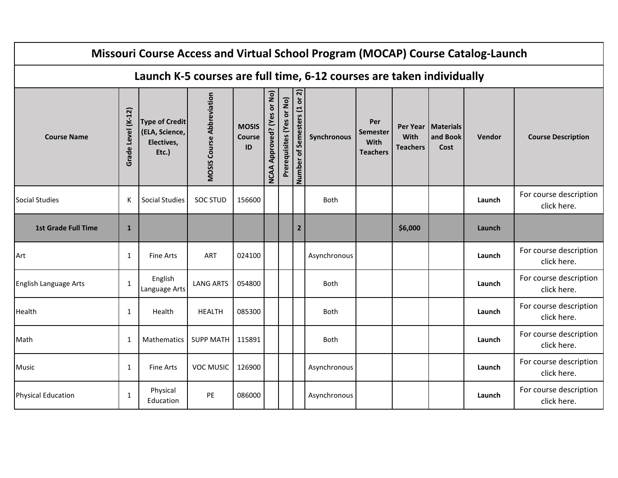|                            |                    |                                                                |                                  |                                     |                                         |                           |                              | Missouri Course Access and Virtual School Program (MOCAP) Course Catalog-Launch |                                                   |                         |                                          |        |                                       |
|----------------------------|--------------------|----------------------------------------------------------------|----------------------------------|-------------------------------------|-----------------------------------------|---------------------------|------------------------------|---------------------------------------------------------------------------------|---------------------------------------------------|-------------------------|------------------------------------------|--------|---------------------------------------|
|                            |                    |                                                                |                                  |                                     |                                         |                           |                              | Launch K-5 courses are full time, 6-12 courses are taken individually           |                                                   |                         |                                          |        |                                       |
| <b>Course Name</b>         | Grade Level (K-12) | <b>Type of Credit</b><br>(ELA, Science,<br>Electives,<br>Etc.) | <b>MOSIS Course Abbreviation</b> | <b>MOSIS</b><br><b>Course</b><br>ID | or No)<br>Approved? (Yes<br><b>NCAA</b> | Prerequisites (Yes or No) | Number of Semesters (1 or 2) | Synchronous                                                                     | Per<br><b>Semester</b><br>With<br><b>Teachers</b> | With<br><b>Teachers</b> | Per Year   Materials<br>and Book<br>Cost | Vendor | <b>Course Description</b>             |
| <b>Social Studies</b>      | K                  | <b>Social Studies</b>                                          | <b>SOC STUD</b>                  | 156600                              |                                         |                           |                              | <b>Both</b>                                                                     |                                                   |                         |                                          | Launch | For course description<br>click here. |
| <b>1st Grade Full Time</b> | $\mathbf{1}$       |                                                                |                                  |                                     |                                         |                           | $\overline{2}$               |                                                                                 |                                                   | \$6,000                 |                                          | Launch |                                       |
| Art                        | 1                  | <b>Fine Arts</b>                                               | ART                              | 024100                              |                                         |                           |                              | Asynchronous                                                                    |                                                   |                         |                                          | Launch | For course description<br>click here. |
| English Language Arts      | $\mathbf{1}$       | English<br>Language Arts                                       | <b>LANG ARTS</b>                 | 054800                              |                                         |                           |                              | <b>Both</b>                                                                     |                                                   |                         |                                          | Launch | For course description<br>click here. |
| Health                     | $\mathbf{1}$       | Health                                                         | <b>HEALTH</b>                    | 085300                              |                                         |                           |                              | <b>Both</b>                                                                     |                                                   |                         |                                          | Launch | For course description<br>click here. |
| Math                       | 1                  | <b>Mathematics</b>                                             | <b>SUPP MATH</b>                 | 115891                              |                                         |                           |                              | <b>Both</b>                                                                     |                                                   |                         |                                          | Launch | For course description<br>click here. |
| Music                      | 1                  | <b>Fine Arts</b>                                               | <b>VOC MUSIC</b>                 | 126900                              |                                         |                           |                              | Asynchronous                                                                    |                                                   |                         |                                          | Launch | For course description<br>click here. |
| <b>Physical Education</b>  | $\mathbf{1}$       | Physical<br>Education                                          | PE                               | 086000                              |                                         |                           |                              | Asynchronous                                                                    |                                                   |                         |                                          | Launch | For course description<br>click here. |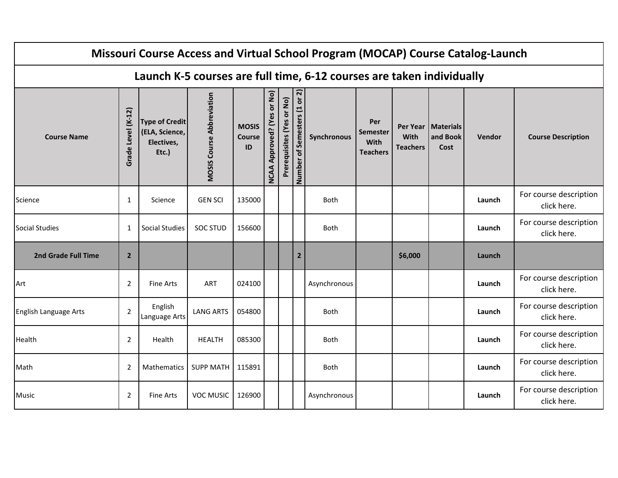|                       |                    |                                                                |                                  |                                     |                                         |                           |                              | Missouri Course Access and Virtual School Program (MOCAP) Course Catalog-Launch |                                                   |                                |                                          |        |                                       |
|-----------------------|--------------------|----------------------------------------------------------------|----------------------------------|-------------------------------------|-----------------------------------------|---------------------------|------------------------------|---------------------------------------------------------------------------------|---------------------------------------------------|--------------------------------|------------------------------------------|--------|---------------------------------------|
|                       |                    |                                                                |                                  |                                     |                                         |                           |                              | Launch K-5 courses are full time, 6-12 courses are taken individually           |                                                   |                                |                                          |        |                                       |
| <b>Course Name</b>    | Grade Level (K-12) | <b>Type of Credit</b><br>(ELA, Science,<br>Electives,<br>Etc.) | <b>MOSIS Course Abbreviation</b> | <b>MOSIS</b><br><b>Course</b><br>ID | or No)<br>Approved? (Yes<br><b>NCAA</b> | Prerequisites (Yes or No) | Number of Semesters (1 or 2) | Synchronous                                                                     | Per<br><b>Semester</b><br>With<br><b>Teachers</b> | <b>With</b><br><b>Teachers</b> | Per Year   Materials<br>and Book<br>Cost | Vendor | <b>Course Description</b>             |
| Science               | $\mathbf{1}$       | Science                                                        | <b>GEN SCI</b>                   | 135000                              |                                         |                           |                              | <b>Both</b>                                                                     |                                                   |                                |                                          | Launch | For course description<br>click here. |
| <b>Social Studies</b> | $\mathbf{1}$       | Social Studies                                                 | <b>SOC STUD</b>                  | 156600                              |                                         |                           |                              | <b>Both</b>                                                                     |                                                   |                                |                                          | Launch | For course description<br>click here. |
| 2nd Grade Full Time   | $\overline{2}$     |                                                                |                                  |                                     |                                         |                           | $\overline{2}$               |                                                                                 |                                                   | \$6,000                        |                                          | Launch |                                       |
| Art                   | $\overline{2}$     | <b>Fine Arts</b>                                               | ART                              | 024100                              |                                         |                           |                              | Asynchronous                                                                    |                                                   |                                |                                          | Launch | For course description<br>click here. |
| English Language Arts | $\overline{2}$     | English<br>Language Arts                                       | <b>LANG ARTS</b>                 | 054800                              |                                         |                           |                              | <b>Both</b>                                                                     |                                                   |                                |                                          | Launch | For course description<br>click here. |
| Health                | $\overline{2}$     | Health                                                         | <b>HEALTH</b>                    | 085300                              |                                         |                           |                              | <b>Both</b>                                                                     |                                                   |                                |                                          | Launch | For course description<br>click here. |
| Math                  | $\overline{2}$     | Mathematics                                                    | <b>SUPP MATH</b>                 | 115891                              |                                         |                           |                              | Both                                                                            |                                                   |                                |                                          | Launch | For course description<br>click here. |
| Music                 | $\overline{2}$     | <b>Fine Arts</b>                                               | <b>VOC MUSIC</b>                 | 126900                              |                                         |                           |                              | Asynchronous                                                                    |                                                   |                                |                                          | Launch | For course description<br>click here. |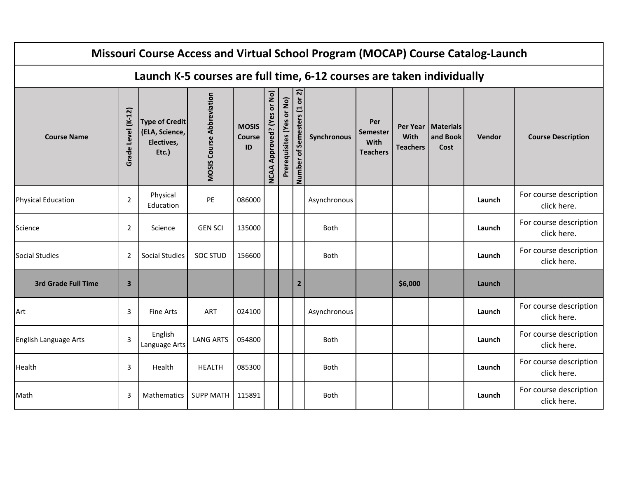|                            |                         |                                                                |                                  |                                     |                                                |                           |                              | Missouri Course Access and Virtual School Program (MOCAP) Course Catalog-Launch |                                                   |                         |                                          |               |                                       |
|----------------------------|-------------------------|----------------------------------------------------------------|----------------------------------|-------------------------------------|------------------------------------------------|---------------------------|------------------------------|---------------------------------------------------------------------------------|---------------------------------------------------|-------------------------|------------------------------------------|---------------|---------------------------------------|
|                            |                         |                                                                |                                  |                                     |                                                |                           |                              | Launch K-5 courses are full time, 6-12 courses are taken individually           |                                                   |                         |                                          |               |                                       |
| <b>Course Name</b>         | Grade Level (K-12)      | <b>Type of Credit</b><br>(ELA, Science,<br>Electives,<br>Etc.) | <b>MOSIS Course Abbreviation</b> | <b>MOSIS</b><br><b>Course</b><br>ID | or No)<br><b>Approved?</b> (Yes<br><b>NCAA</b> | Prerequisites (Yes or No) | Number of Semesters (1 or 2) | Synchronous                                                                     | Per<br><b>Semester</b><br>With<br><b>Teachers</b> | With<br><b>Teachers</b> | Per Year   Materials<br>and Book<br>Cost | <b>Vendor</b> | <b>Course Description</b>             |
| <b>Physical Education</b>  | $\overline{2}$          | Physical<br>Education                                          | PE                               | 086000                              |                                                |                           |                              | Asynchronous                                                                    |                                                   |                         |                                          | Launch        | For course description<br>click here. |
| Science                    | $\overline{2}$          | Science                                                        | <b>GEN SCI</b>                   | 135000                              |                                                |                           |                              | <b>Both</b>                                                                     |                                                   |                         |                                          | Launch        | For course description<br>click here. |
| <b>Social Studies</b>      | $\overline{2}$          | Social Studies                                                 | <b>SOC STUD</b>                  | 156600                              |                                                |                           |                              | <b>Both</b>                                                                     |                                                   |                         |                                          | Launch        | For course description<br>click here. |
| <b>3rd Grade Full Time</b> | $\overline{\mathbf{3}}$ |                                                                |                                  |                                     |                                                |                           | $\overline{2}$               |                                                                                 |                                                   | \$6,000                 |                                          | Launch        |                                       |
| Art                        | 3                       | <b>Fine Arts</b>                                               | ART                              | 024100                              |                                                |                           |                              | Asynchronous                                                                    |                                                   |                         |                                          | Launch        | For course description<br>click here. |
| English Language Arts      | 3                       | English<br>Language Arts                                       | <b>LANG ARTS</b>                 | 054800                              |                                                |                           |                              | <b>Both</b>                                                                     |                                                   |                         |                                          | Launch        | For course description<br>click here. |
| Health                     | 3                       | Health                                                         | <b>HEALTH</b>                    | 085300                              |                                                |                           |                              | Both                                                                            |                                                   |                         |                                          | Launch        | For course description<br>click here. |
| Math                       | 3                       | Mathematics                                                    | <b>SUPP MATH</b>                 | 115891                              |                                                |                           |                              | <b>Both</b>                                                                     |                                                   |                         |                                          | Launch        | For course description<br>click here. |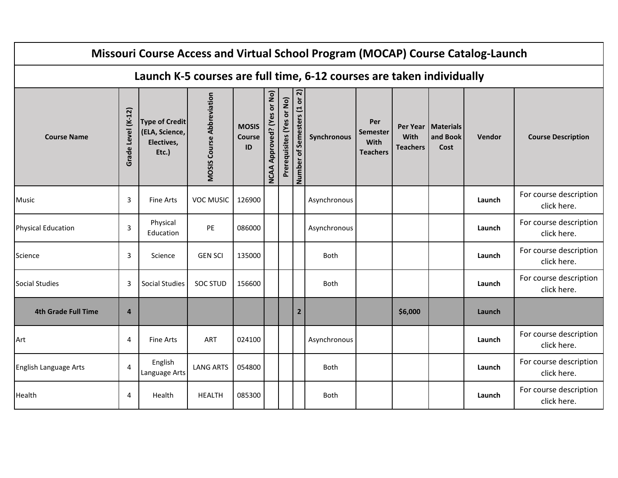|                            |                    |                                                                |                                  |                                     |                                         |                           |                              | Missouri Course Access and Virtual School Program (MOCAP) Course Catalog-Launch |                                                   |                         |                                          |        |                                       |
|----------------------------|--------------------|----------------------------------------------------------------|----------------------------------|-------------------------------------|-----------------------------------------|---------------------------|------------------------------|---------------------------------------------------------------------------------|---------------------------------------------------|-------------------------|------------------------------------------|--------|---------------------------------------|
|                            |                    |                                                                |                                  |                                     |                                         |                           |                              | Launch K-5 courses are full time, 6-12 courses are taken individually           |                                                   |                         |                                          |        |                                       |
| <b>Course Name</b>         | Grade Level (K-12) | <b>Type of Credit</b><br>(ELA, Science,<br>Electives,<br>Etc.) | <b>MOSIS Course Abbreviation</b> | <b>MOSIS</b><br><b>Course</b><br>ID | or No)<br>Approved? (Yes<br><b>NCAA</b> | Prerequisites (Yes or No) | Number of Semesters (1 or 2) | Synchronous                                                                     | Per<br><b>Semester</b><br>With<br><b>Teachers</b> | With<br><b>Teachers</b> | Per Year   Materials<br>and Book<br>Cost | Vendor | <b>Course Description</b>             |
| Music                      | 3                  | <b>Fine Arts</b>                                               | <b>VOC MUSIC</b>                 | 126900                              |                                         |                           |                              | Asynchronous                                                                    |                                                   |                         |                                          | Launch | For course description<br>click here. |
| <b>Physical Education</b>  | $\overline{3}$     | Physical<br>Education                                          | PE                               | 086000                              |                                         |                           |                              | Asynchronous                                                                    |                                                   |                         |                                          | Launch | For course description<br>click here. |
| Science                    | 3                  | Science                                                        | <b>GEN SCI</b>                   | 135000                              |                                         |                           |                              | <b>Both</b>                                                                     |                                                   |                         |                                          | Launch | For course description<br>click here. |
| <b>Social Studies</b>      | 3                  | <b>Social Studies</b>                                          | <b>SOC STUD</b>                  | 156600                              |                                         |                           |                              | Both                                                                            |                                                   |                         |                                          | Launch | For course description<br>click here. |
| <b>4th Grade Full Time</b> | $\overline{a}$     |                                                                |                                  |                                     |                                         |                           | $\overline{2}$               |                                                                                 |                                                   | \$6,000                 |                                          | Launch |                                       |
| Art                        | $\overline{4}$     | <b>Fine Arts</b>                                               | <b>ART</b>                       | 024100                              |                                         |                           |                              | Asynchronous                                                                    |                                                   |                         |                                          | Launch | For course description<br>click here. |
| English Language Arts      | $\overline{4}$     | English<br>Language Arts                                       | <b>LANG ARTS</b>                 | 054800                              |                                         |                           |                              | Both                                                                            |                                                   |                         |                                          | Launch | For course description<br>click here. |
| Health                     | 4                  | Health                                                         | <b>HEALTH</b>                    | 085300                              |                                         |                           |                              | <b>Both</b>                                                                     |                                                   |                         |                                          | Launch | For course description<br>click here. |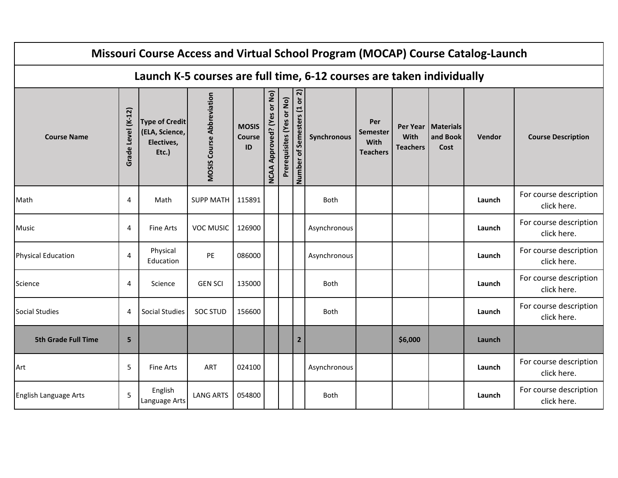|                            |                    |                                                                |                                  |                                     |                                                |                           |                              | Missouri Course Access and Virtual School Program (MOCAP) Course Catalog-Launch |                                            |                         |                                          |        |                                       |
|----------------------------|--------------------|----------------------------------------------------------------|----------------------------------|-------------------------------------|------------------------------------------------|---------------------------|------------------------------|---------------------------------------------------------------------------------|--------------------------------------------|-------------------------|------------------------------------------|--------|---------------------------------------|
|                            |                    |                                                                |                                  |                                     |                                                |                           |                              | Launch K-5 courses are full time, 6-12 courses are taken individually           |                                            |                         |                                          |        |                                       |
| <b>Course Name</b>         | Grade Level (K-12) | <b>Type of Credit</b><br>(ELA, Science,<br>Electives,<br>Etc.) | <b>MOSIS Course Abbreviation</b> | <b>MOSIS</b><br><b>Course</b><br>ID | or No)<br><b>Approved? (Yes</b><br><b>NCAA</b> | Prerequisites (Yes or No) | Number of Semesters (1 or 2) | Synchronous                                                                     | Per<br>Semester<br>With<br><b>Teachers</b> | With<br><b>Teachers</b> | Per Year   Materials<br>and Book<br>Cost | Vendor | <b>Course Description</b>             |
| Math                       | 4                  | Math                                                           | <b>SUPP MATH</b>                 | 115891                              |                                                |                           |                              | Both                                                                            |                                            |                         |                                          | Launch | For course description<br>click here. |
| <b>Music</b>               | $\overline{4}$     | <b>Fine Arts</b>                                               | <b>VOC MUSIC</b>                 | 126900                              |                                                |                           |                              | Asynchronous                                                                    |                                            |                         |                                          | Launch | For course description<br>click here. |
| <b>Physical Education</b>  | $\overline{4}$     | Physical<br>Education                                          | PE                               | 086000                              |                                                |                           |                              | Asynchronous                                                                    |                                            |                         |                                          | Launch | For course description<br>click here. |
| Science                    | 4                  | Science                                                        | <b>GEN SCI</b>                   | 135000                              |                                                |                           |                              | <b>Both</b>                                                                     |                                            |                         |                                          | Launch | For course description<br>click here. |
| Social Studies             | 4                  | Social Studies                                                 | <b>SOC STUD</b>                  | 156600                              |                                                |                           |                              | <b>Both</b>                                                                     |                                            |                         |                                          | Launch | For course description<br>click here. |
| <b>5th Grade Full Time</b> | 5                  |                                                                |                                  |                                     |                                                |                           | $\overline{2}$               |                                                                                 |                                            | \$6,000                 |                                          | Launch |                                       |
| Art                        | 5                  | <b>Fine Arts</b>                                               | <b>ART</b>                       | 024100                              |                                                |                           |                              | Asynchronous                                                                    |                                            |                         |                                          | Launch | For course description<br>click here. |
| English Language Arts      | 5                  | English<br>Language Arts                                       | <b>LANG ARTS</b>                 | 054800                              |                                                |                           |                              | Both                                                                            |                                            |                         |                                          | Launch | For course description<br>click here. |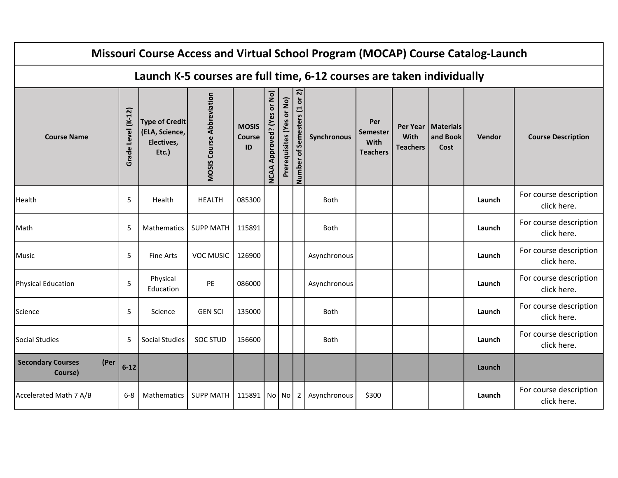|                                             |                    |                                                                |                                  |                                     |                                         |                           |                              | Missouri Course Access and Virtual School Program (MOCAP) Course Catalog-Launch |                                            |                                |                                          |        |                                       |
|---------------------------------------------|--------------------|----------------------------------------------------------------|----------------------------------|-------------------------------------|-----------------------------------------|---------------------------|------------------------------|---------------------------------------------------------------------------------|--------------------------------------------|--------------------------------|------------------------------------------|--------|---------------------------------------|
|                                             |                    |                                                                |                                  |                                     |                                         |                           |                              | Launch K-5 courses are full time, 6-12 courses are taken individually           |                                            |                                |                                          |        |                                       |
| <b>Course Name</b>                          | Grade Level (K-12) | <b>Type of Credit</b><br>(ELA, Science,<br>Electives,<br>Etc.) | <b>MOSIS Course Abbreviation</b> | <b>MOSIS</b><br><b>Course</b><br>ID | or No)<br>Approved? (Yes<br><b>NCAA</b> | Prerequisites (Yes or No) | Number of Semesters (1 or 2) | Synchronous                                                                     | Per<br>Semester<br>With<br><b>Teachers</b> | <b>With</b><br><b>Teachers</b> | Per Year   Materials<br>and Book<br>Cost | Vendor | <b>Course Description</b>             |
| Health                                      | 5                  | Health                                                         | <b>HEALTH</b>                    | 085300                              |                                         |                           |                              | Both                                                                            |                                            |                                |                                          | Launch | For course description<br>click here. |
| Math                                        | 5                  | Mathematics                                                    | <b>SUPP MATH</b>                 | 115891                              |                                         |                           |                              | <b>Both</b>                                                                     |                                            |                                |                                          | Launch | For course description<br>click here. |
| <b>Music</b>                                | 5                  | <b>Fine Arts</b>                                               | <b>VOC MUSIC</b>                 | 126900                              |                                         |                           |                              | Asynchronous                                                                    |                                            |                                |                                          | Launch | For course description<br>click here. |
| <b>Physical Education</b>                   | 5                  | Physical<br>Education                                          | PE                               | 086000                              |                                         |                           |                              | Asynchronous                                                                    |                                            |                                |                                          | Launch | For course description<br>click here. |
| Science                                     | 5                  | Science                                                        | <b>GEN SCI</b>                   | 135000                              |                                         |                           |                              | Both                                                                            |                                            |                                |                                          | Launch | For course description<br>click here. |
| Social Studies                              | 5                  | Social Studies                                                 | <b>SOC STUD</b>                  | 156600                              |                                         |                           |                              | <b>Both</b>                                                                     |                                            |                                |                                          | Launch | For course description<br>click here. |
| <b>Secondary Courses</b><br>(Per<br>Course) | $6 - 12$           |                                                                |                                  |                                     |                                         |                           |                              |                                                                                 |                                            |                                |                                          | Launch |                                       |
| Accelerated Math 7 A/B                      | $6 - 8$            | <b>Mathematics</b>                                             | <b>SUPP MATH</b>                 | 115891 No No                        |                                         |                           | 2                            | Asynchronous                                                                    | \$300                                      |                                |                                          | Launch | For course description<br>click here. |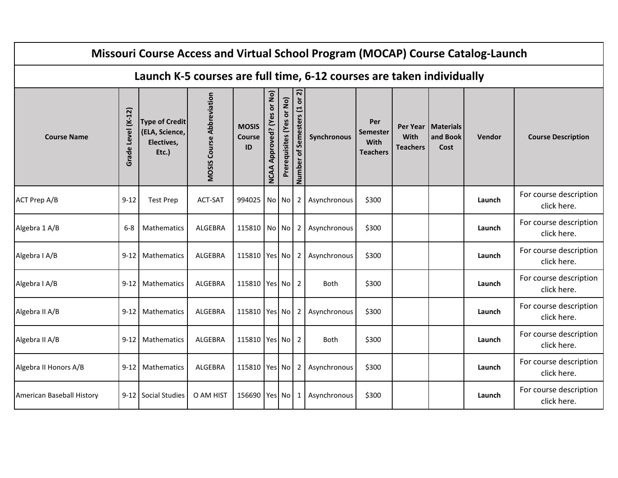|                           |                    |                                                                |                                  |                                     |                                         |                           |                                   | Missouri Course Access and Virtual School Program (MOCAP) Course Catalog-Launch |                                                   |                                     |                                      |        |                                       |
|---------------------------|--------------------|----------------------------------------------------------------|----------------------------------|-------------------------------------|-----------------------------------------|---------------------------|-----------------------------------|---------------------------------------------------------------------------------|---------------------------------------------------|-------------------------------------|--------------------------------------|--------|---------------------------------------|
|                           |                    |                                                                |                                  |                                     |                                         |                           |                                   | Launch K-5 courses are full time, 6-12 courses are taken individually           |                                                   |                                     |                                      |        |                                       |
| <b>Course Name</b>        | Grade Level (K-12) | <b>Type of Credit</b><br>(ELA, Science,<br>Electives,<br>Etc.) | <b>MOSIS Course Abbreviation</b> | <b>MOSIS</b><br><b>Course</b><br>ID | or No)<br>Approved? (Yes<br><b>NCAA</b> | Prerequisites (Yes or No) | or $2)$<br>Number of Semesters (1 | Synchronous                                                                     | Per<br><b>Semester</b><br>With<br><b>Teachers</b> | Per Year<br>With<br><b>Teachers</b> | <b>Materials</b><br>and Book<br>Cost | Vendor | <b>Course Description</b>             |
| <b>ACT Prep A/B</b>       | $9 - 12$           | <b>Test Prep</b>                                               | ACT-SAT                          | 994025 No No                        |                                         |                           | $\mathbf{2}$                      | Asynchronous                                                                    | \$300                                             |                                     |                                      | Launch | For course description<br>click here. |
| Algebra 1 A/B             | $6 - 8$            | <b>Mathematics</b>                                             | <b>ALGEBRA</b>                   | 115810 No No                        |                                         |                           | 2                                 | Asynchronous                                                                    | \$300                                             |                                     |                                      | Launch | For course description<br>click here. |
| Algebra I A/B             | $9 - 12$           | Mathematics                                                    | ALGEBRA                          | 115810   Yes   No                   |                                         |                           | 2                                 | Asynchronous                                                                    | \$300                                             |                                     |                                      | Launch | For course description<br>click here. |
| Algebra I A/B             | $9-12$             | Mathematics                                                    | ALGEBRA                          | 115810   Yes   No                   |                                         |                           | $\overline{2}$                    | Both                                                                            | \$300                                             |                                     |                                      | Launch | For course description<br>click here. |
| Algebra II A/B            | $9-12$             | Mathematics                                                    | <b>ALGEBRA</b>                   | 115810   Yes   No                   |                                         |                           | 2                                 | Asynchronous                                                                    | \$300                                             |                                     |                                      | Launch | For course description<br>click here. |
| Algebra II A/B            | $9 - 12$           | <b>Mathematics</b>                                             | <b>ALGEBRA</b>                   | 115810 Yes No                       |                                         |                           | 2                                 | <b>Both</b>                                                                     | \$300                                             |                                     |                                      | Launch | For course description<br>click here. |
| Algebra II Honors A/B     | $9 - 12$           | <b>Mathematics</b>                                             | <b>ALGEBRA</b>                   | 115810 Yes No                       |                                         |                           | 2                                 | Asynchronous                                                                    | \$300                                             |                                     |                                      | Launch | For course description<br>click here. |
| American Baseball History |                    | 9-12 Social Studies                                            | O AM HIST                        | 156690 Yes No                       |                                         |                           | 1                                 | Asynchronous                                                                    | \$300                                             |                                     |                                      | Launch | For course description<br>click here. |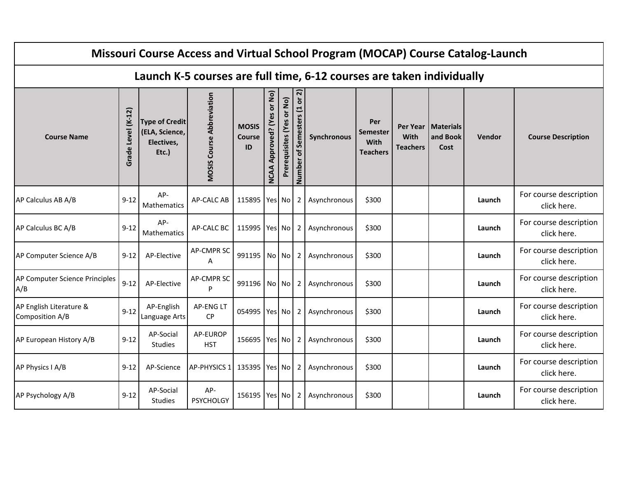|                                            |                                |                                                                |                                  |                                     |                                         |                           |                                    | Missouri Course Access and Virtual School Program (MOCAP) Course Catalog-Launch |                                                   |                                                   |                                      |        |                                       |
|--------------------------------------------|--------------------------------|----------------------------------------------------------------|----------------------------------|-------------------------------------|-----------------------------------------|---------------------------|------------------------------------|---------------------------------------------------------------------------------|---------------------------------------------------|---------------------------------------------------|--------------------------------------|--------|---------------------------------------|
|                                            |                                |                                                                |                                  |                                     |                                         |                           |                                    | Launch K-5 courses are full time, 6-12 courses are taken individually           |                                                   |                                                   |                                      |        |                                       |
| <b>Course Name</b>                         | $(K-12)$<br><b>Grade Level</b> | <b>Type of Credit</b><br>(ELA, Science,<br>Electives,<br>Etc.) | <b>MOSIS Course Abbreviation</b> | <b>MOSIS</b><br><b>Course</b><br>ID | or No)<br>Approved? (Yes<br><b>NCAA</b> | Prerequisites (Yes or No) | or 2)<br>of Semesters (1<br>Number | Synchronous                                                                     | Per<br><b>Semester</b><br>With<br><b>Teachers</b> | <b>Per Year</b><br><b>With</b><br><b>Teachers</b> | <b>Materials</b><br>and Book<br>Cost | Vendor | <b>Course Description</b>             |
| AP Calculus AB A/B                         | $9 - 12$                       | AP-<br>Mathematics                                             | <b>AP-CALC AB</b>                | 115895 Yes No                       |                                         |                           | $\mathbf{2}$                       | Asynchronous                                                                    | \$300                                             |                                                   |                                      | Launch | For course description<br>click here. |
| AP Calculus BC A/B                         | $9 - 12$                       | AP-<br>Mathematics                                             | AP-CALC BC                       | 115995 Yes No                       |                                         |                           | 2                                  | Asynchronous                                                                    | \$300                                             |                                                   |                                      | Launch | For course description<br>click here. |
| AP Computer Science A/B                    | $9 - 12$                       | AP-Elective                                                    | <b>AP-CMPR SC</b><br>A           | 991195 No No                        |                                         |                           | 2                                  | Asynchronous                                                                    | \$300                                             |                                                   |                                      | Launch | For course description<br>click here. |
| AP Computer Science Principles<br>A/B      | $9 - 12$                       | AP-Elective                                                    | <b>AP-CMPR SC</b><br>P           | 991196 No No                        |                                         |                           | $2^{\circ}$                        | Asynchronous                                                                    | \$300                                             |                                                   |                                      | Launch | For course description<br>click here. |
| AP English Literature &<br>Composition A/B | $9 - 12$                       | AP-English<br>Language Arts                                    | <b>AP-ENGLT</b><br><b>CP</b>     | 054995 Yes No                       |                                         |                           | $\overline{2}$                     | Asynchronous                                                                    | \$300                                             |                                                   |                                      | Launch | For course description<br>click here. |
| AP European History A/B                    | $9 - 12$                       | AP-Social<br>Studies                                           | AP-EUROP<br><b>HST</b>           | 156695 Yes No                       |                                         |                           | 2                                  | Asynchronous                                                                    | \$300                                             |                                                   |                                      | Launch | For course description<br>click here. |
| AP Physics I A/B                           | $9 - 12$                       | AP-Science                                                     | AP-PHYSICS 1                     | 135395 Yes No                       |                                         |                           | $\overline{2}$                     | Asynchronous                                                                    | \$300                                             |                                                   |                                      | Launch | For course description<br>click here. |
| AP Psychology A/B                          | $9 - 12$                       | AP-Social<br><b>Studies</b>                                    | AP-<br><b>PSYCHOLGY</b>          | 156195 Yes No                       |                                         |                           | 2                                  | Asynchronous                                                                    | \$300                                             |                                                   |                                      | Launch | For course description<br>click here. |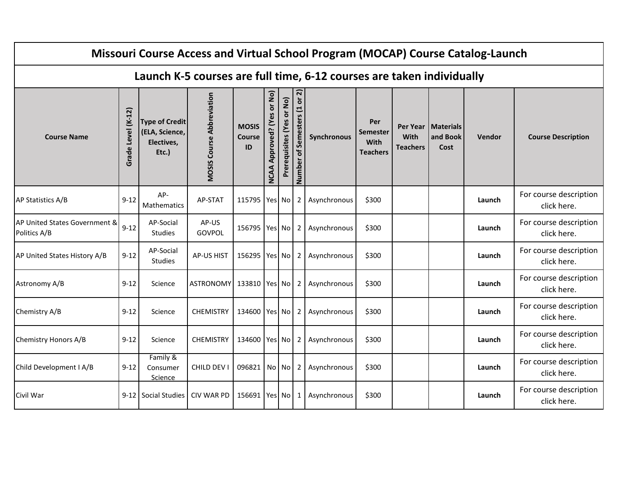|                                               |                    |                                                                |                                  |                                     |                                         |                           |                                 | Missouri Course Access and Virtual School Program (MOCAP) Course Catalog-Launch |                                                   |                                            |                                      |        |                                       |
|-----------------------------------------------|--------------------|----------------------------------------------------------------|----------------------------------|-------------------------------------|-----------------------------------------|---------------------------|---------------------------------|---------------------------------------------------------------------------------|---------------------------------------------------|--------------------------------------------|--------------------------------------|--------|---------------------------------------|
|                                               |                    |                                                                |                                  |                                     |                                         |                           |                                 | Launch K-5 courses are full time, 6-12 courses are taken individually           |                                                   |                                            |                                      |        |                                       |
| <b>Course Name</b>                            | Grade Level (K-12) | <b>Type of Credit</b><br>(ELA, Science,<br>Electives,<br>Etc.) | <b>MOSIS Course Abbreviation</b> | <b>MOSIS</b><br><b>Course</b><br>ID | or No)<br>Approved? (Yes<br><b>NCAA</b> | Prerequisites (Yes or No) | or 2)<br>Number of Semesters (1 | Synchronous                                                                     | Per<br><b>Semester</b><br>With<br><b>Teachers</b> | Per Year<br><b>With</b><br><b>Teachers</b> | <b>Materials</b><br>and Book<br>Cost | Vendor | <b>Course Description</b>             |
| AP Statistics A/B                             | $9 - 12$           | AP-<br>Mathematics                                             | AP-STAT                          | 115795 Yes No                       |                                         |                           | $\overline{2}$                  | Asynchronous                                                                    | \$300                                             |                                            |                                      | Launch | For course description<br>click here. |
| AP United States Government &<br>Politics A/B | $9 - 12$           | AP-Social<br>Studies                                           | AP-US<br>GOVPOL                  | 156795   Yes   No                   |                                         |                           | $\overline{2}$                  | Asynchronous                                                                    | \$300                                             |                                            |                                      | Launch | For course description<br>click here. |
| AP United States History A/B                  | $9 - 12$           | AP-Social<br><b>Studies</b>                                    | <b>AP-US HIST</b>                | 156295 Yes No                       |                                         |                           | 2                               | Asynchronous                                                                    | \$300                                             |                                            |                                      | Launch | For course description<br>click here. |
| Astronomy A/B                                 | $9 - 12$           | Science                                                        | ASTRONOMY 133810   Yes   No      |                                     |                                         |                           | $\overline{2}$                  | Asynchronous                                                                    | \$300                                             |                                            |                                      | Launch | For course description<br>click here. |
| Chemistry A/B                                 | $9 - 12$           | Science                                                        | <b>CHEMISTRY</b>                 | 134600 Yes No                       |                                         |                           | $\overline{2}$                  | Asynchronous                                                                    | \$300                                             |                                            |                                      | Launch | For course description<br>click here. |
| Chemistry Honors A/B                          | $9 - 12$           | Science                                                        | <b>CHEMISTRY</b>                 | 134600 Yes No                       |                                         |                           | 2                               | Asynchronous                                                                    | \$300                                             |                                            |                                      | Launch | For course description<br>click here. |
| Child Development I A/B                       | $9 - 12$           | Family &<br>Consumer<br>Science                                | CHILD DEV I                      | 096821 No No                        |                                         |                           | 2                               | Asynchronous                                                                    | \$300                                             |                                            |                                      | Launch | For course description<br>click here. |
| Civil War                                     |                    | 9-12 Social Studies                                            | <b>CIV WAR PD</b>                | 156691 Yes No                       |                                         |                           | 1                               | Asynchronous                                                                    | \$300                                             |                                            |                                      | Launch | For course description<br>click here. |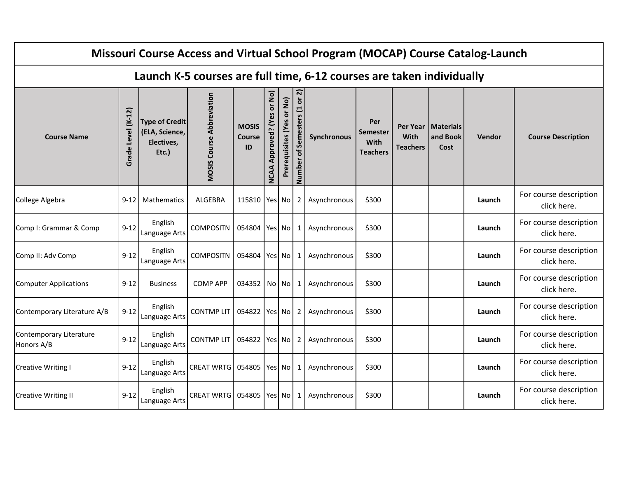|                                       |                    |                                                                |                                  |                                     |                                         |                           |                                 | Missouri Course Access and Virtual School Program (MOCAP) Course Catalog-Launch |                                                   |                                     |                                      |        |                                       |
|---------------------------------------|--------------------|----------------------------------------------------------------|----------------------------------|-------------------------------------|-----------------------------------------|---------------------------|---------------------------------|---------------------------------------------------------------------------------|---------------------------------------------------|-------------------------------------|--------------------------------------|--------|---------------------------------------|
|                                       |                    |                                                                |                                  |                                     |                                         |                           |                                 | Launch K-5 courses are full time, 6-12 courses are taken individually           |                                                   |                                     |                                      |        |                                       |
| <b>Course Name</b>                    | Grade Level (K-12) | <b>Type of Credit</b><br>(ELA, Science,<br>Electives,<br>Etc.) | <b>MOSIS Course Abbreviation</b> | <b>MOSIS</b><br><b>Course</b><br>ID | or No)<br>Approved? (Yes<br><b>NCAA</b> | Prerequisites (Yes or No) | or 2)<br>Number of Semesters (1 | Synchronous                                                                     | Per<br><b>Semester</b><br>With<br><b>Teachers</b> | Per Year<br>With<br><b>Teachers</b> | <b>Materials</b><br>and Book<br>Cost | Vendor | <b>Course Description</b>             |
| College Algebra                       | $9 - 12$           | Mathematics                                                    | <b>ALGEBRA</b>                   | 115810   Yes   No                   |                                         |                           | $\overline{2}$                  | Asynchronous                                                                    | \$300                                             |                                     |                                      | Launch | For course description<br>click here. |
| Comp I: Grammar & Comp                | $9 - 12$           | English<br>Language Arts                                       | <b>COMPOSITN</b>                 | 054804 Yes No                       |                                         |                           | 1                               | Asynchronous                                                                    | \$300                                             |                                     |                                      | Launch | For course description<br>click here. |
| Comp II: Adv Comp                     | $9 - 12$           | English<br>Language Arts                                       | <b>COMPOSITN</b>                 | 054804 Yes No                       |                                         |                           | 1                               | Asynchronous                                                                    | \$300                                             |                                     |                                      | Launch | For course description<br>click here. |
| <b>Computer Applications</b>          | $9 - 12$           | <b>Business</b>                                                | <b>COMP APP</b>                  | 034352 No No                        |                                         |                           | 1                               | Asynchronous                                                                    | \$300                                             |                                     |                                      | Launch | For course description<br>click here. |
| Contemporary Literature A/B           | $9-12$             | English<br>Language Arts                                       | <b>CONTMP LIT</b>                | 054822 Yes No                       |                                         |                           | $\overline{2}$                  | Asynchronous                                                                    | \$300                                             |                                     |                                      | Launch | For course description<br>click here. |
| Contemporary Literature<br>Honors A/B | $9 - 12$           | English<br>Language Arts                                       | <b>CONTMPLIT</b>                 | 054822 Yes No                       |                                         |                           | 2                               | Asynchronous                                                                    | \$300                                             |                                     |                                      | Launch | For course description<br>click here. |
| <b>Creative Writing I</b>             | $9 - 12$           | English<br>Language Arts                                       | <b>CREAT WRTG</b>                | 054805 Yes No                       |                                         |                           | 1                               | Asynchronous                                                                    | \$300                                             |                                     |                                      | Launch | For course description<br>click here. |
| <b>Creative Writing II</b>            | $9 - 12$           | English<br>Language Arts                                       | <b>CREAT WRTG</b>                | 054805                              |                                         | Yes No                    | 1                               | Asynchronous                                                                    | \$300                                             |                                     |                                      | Launch | For course description<br>click here. |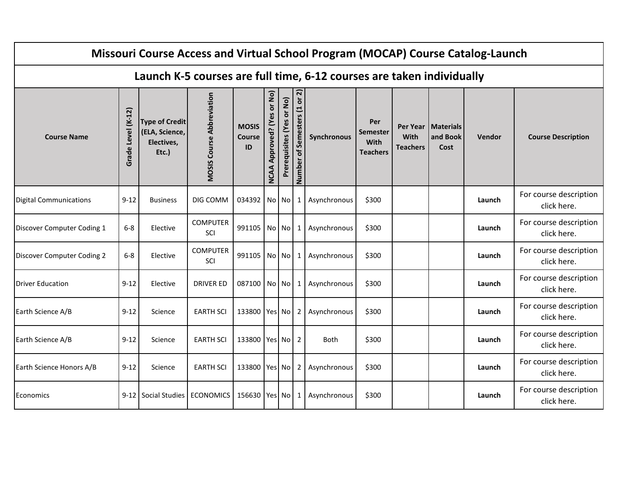|                               |                       |                                                                |                                  |                                     |                                         |                           |                                 | Missouri Course Access and Virtual School Program (MOCAP) Course Catalog-Launch |                                                   |                                            |                                      |        |                                       |
|-------------------------------|-----------------------|----------------------------------------------------------------|----------------------------------|-------------------------------------|-----------------------------------------|---------------------------|---------------------------------|---------------------------------------------------------------------------------|---------------------------------------------------|--------------------------------------------|--------------------------------------|--------|---------------------------------------|
|                               |                       |                                                                |                                  |                                     |                                         |                           |                                 | Launch K-5 courses are full time, 6-12 courses are taken individually           |                                                   |                                            |                                      |        |                                       |
| <b>Course Name</b>            | Level (K-12)<br>Grade | <b>Type of Credit</b><br>(ELA, Science,<br>Electives,<br>Etc.) | <b>MOSIS Course Abbreviation</b> | <b>MOSIS</b><br><b>Course</b><br>ID | or No)<br>Approved? (Yes<br><b>NCAA</b> | Prerequisites (Yes or No) | or 2)<br>Number of Semesters (1 | Synchronous                                                                     | Per<br><b>Semester</b><br>With<br><b>Teachers</b> | Per Year<br><b>With</b><br><b>Teachers</b> | <b>Materials</b><br>and Book<br>Cost | Vendor | <b>Course Description</b>             |
| <b>Digital Communications</b> | $9 - 12$              | <b>Business</b>                                                | DIG COMM                         | 034392                              |                                         | No No                     | 1                               | Asynchronous                                                                    | \$300                                             |                                            |                                      | Launch | For course description<br>click here. |
| Discover Computer Coding 1    | $6 - 8$               | Elective                                                       | <b>COMPUTER</b><br>SCI           | 991105 No No                        |                                         |                           | -1                              | Asynchronous                                                                    | \$300                                             |                                            |                                      | Launch | For course description<br>click here. |
| Discover Computer Coding 2    | $6-8$                 | Elective                                                       | <b>COMPUTER</b><br>SCI           | 991105                              |                                         | No No                     | 1                               | Asynchronous                                                                    | \$300                                             |                                            |                                      | Launch | For course description<br>click here. |
| <b>Driver Education</b>       | $9 - 12$              | Elective                                                       | <b>DRIVER ED</b>                 | 087100 No No                        |                                         |                           | -1                              | Asynchronous                                                                    | \$300                                             |                                            |                                      | Launch | For course description<br>click here. |
| Earth Science A/B             | $9 - 12$              | Science                                                        | <b>EARTH SCI</b>                 | 133800 Yes No                       |                                         |                           | 2                               | Asynchronous                                                                    | \$300                                             |                                            |                                      | Launch | For course description<br>click here. |
| Earth Science A/B             | $9 - 12$              | Science                                                        | <b>EARTH SCI</b>                 | 133800 Yes No                       |                                         |                           | 2                               | Both                                                                            | \$300                                             |                                            |                                      | Launch | For course description<br>click here. |
| Earth Science Honors A/B      | $9 - 12$              | Science                                                        | <b>EARTH SCI</b>                 | 133800 Yes No                       |                                         |                           | $\overline{2}$                  | Asynchronous                                                                    | \$300                                             |                                            |                                      | Launch | For course description<br>click here. |
| Economics                     |                       | 9-12 Social Studies                                            | <b>ECONOMICS</b>                 | 156630 Yes No                       |                                         |                           | 1                               | Asynchronous                                                                    | \$300                                             |                                            |                                      | Launch | For course description<br>click here. |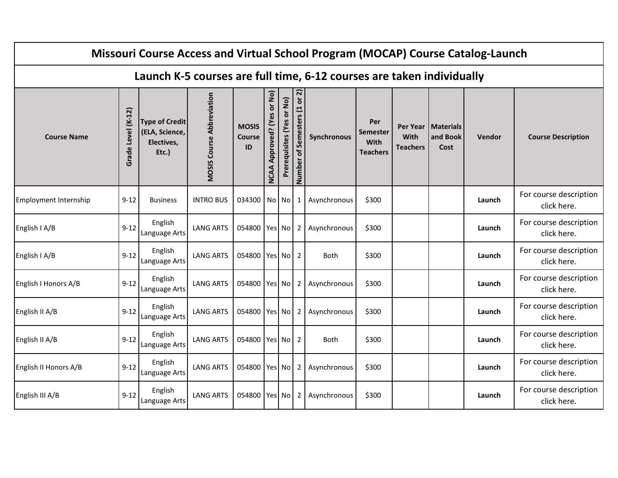|                       |                    |                                                                |                                  |                                     |                                         |                           |                                 | Missouri Course Access and Virtual School Program (MOCAP) Course Catalog-Launch |                                                   |                                     |                               |        |                                       |
|-----------------------|--------------------|----------------------------------------------------------------|----------------------------------|-------------------------------------|-----------------------------------------|---------------------------|---------------------------------|---------------------------------------------------------------------------------|---------------------------------------------------|-------------------------------------|-------------------------------|--------|---------------------------------------|
|                       |                    |                                                                |                                  |                                     |                                         |                           |                                 | Launch K-5 courses are full time, 6-12 courses are taken individually           |                                                   |                                     |                               |        |                                       |
| <b>Course Name</b>    | Grade Level (K-12) | <b>Type of Credit</b><br>(ELA, Science,<br>Electives,<br>Etc.) | <b>MOSIS Course Abbreviation</b> | <b>MOSIS</b><br><b>Course</b><br>ID | or No)<br>Approved? (Yes<br><b>NCAA</b> | Prerequisites (Yes or No) | or 2)<br>Number of Semesters (1 | Synchronous                                                                     | Per<br><b>Semester</b><br>With<br><b>Teachers</b> | Per Year<br>With<br><b>Teachers</b> | Materials<br>and Book<br>Cost | Vendor | <b>Course Description</b>             |
| Employment Internship | $9 - 12$           | <b>Business</b>                                                | <b>INTRO BUS</b>                 | 034300 No No                        |                                         |                           | 1                               | Asynchronous                                                                    | \$300                                             |                                     |                               | Launch | For course description<br>click here. |
| English I A/B         | $9 - 12$           | English<br>Language Arts                                       | <b>LANG ARTS</b>                 | 054800 Yes No                       |                                         |                           | 2                               | Asynchronous                                                                    | \$300                                             |                                     |                               | Launch | For course description<br>click here. |
| English I A/B         | $9 - 12$           | English<br>Language Arts                                       | <b>LANG ARTS</b>                 | 054800 Yes No                       |                                         |                           | 2                               | <b>Both</b>                                                                     | \$300                                             |                                     |                               | Launch | For course description<br>click here. |
| English I Honors A/B  | $9 - 12$           | English<br>Language Arts                                       | <b>LANG ARTS</b>                 | 054800 Yes No                       |                                         |                           | $\overline{2}$                  | Asynchronous                                                                    | \$300                                             |                                     |                               | Launch | For course description<br>click here. |
| English II A/B        | $9 - 12$           | English<br>Language Arts                                       | <b>LANG ARTS</b>                 | 054800   Yes   No                   |                                         |                           | 2                               | Asynchronous                                                                    | \$300                                             |                                     |                               | Launch | For course description<br>click here. |
| English II A/B        | $9 - 12$           | English<br>Language Arts                                       | <b>LANG ARTS</b>                 | 054800 Yes No                       |                                         |                           | $\overline{2}$                  | <b>Both</b>                                                                     | \$300                                             |                                     |                               | Launch | For course description<br>click here. |
| English II Honors A/B | $9 - 12$           | English<br>Language Arts                                       | <b>LANG ARTS</b>                 | 054800 Yes No                       |                                         |                           | 2                               | Asynchronous                                                                    | \$300                                             |                                     |                               | Launch | For course description<br>click here. |
| English III A/B       | $9 - 12$           | English<br>Language Arts                                       | <b>LANG ARTS</b>                 | 054800 Yes No                       |                                         |                           | 2                               | Asynchronous                                                                    | \$300                                             |                                     |                               | Launch | For course description<br>click here. |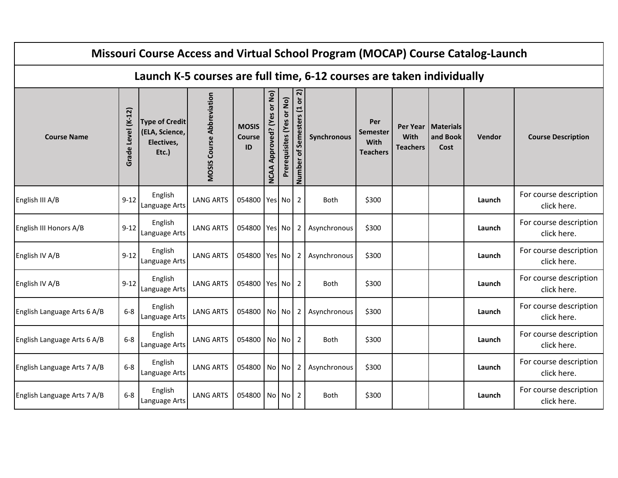|                             |                    |                                                                |                                  |                                     |                                                |                           |                              | Missouri Course Access and Virtual School Program (MOCAP) Course Catalog-Launch |                                            |                                |                                          |               |                                       |
|-----------------------------|--------------------|----------------------------------------------------------------|----------------------------------|-------------------------------------|------------------------------------------------|---------------------------|------------------------------|---------------------------------------------------------------------------------|--------------------------------------------|--------------------------------|------------------------------------------|---------------|---------------------------------------|
|                             |                    |                                                                |                                  |                                     |                                                |                           |                              | Launch K-5 courses are full time, 6-12 courses are taken individually           |                                            |                                |                                          |               |                                       |
| <b>Course Name</b>          | Grade Level (K-12) | <b>Type of Credit</b><br>(ELA, Science,<br>Electives,<br>Etc.) | <b>MOSIS Course Abbreviation</b> | <b>MOSIS</b><br><b>Course</b><br>ID | or No)<br><b>Approved?</b> (Yes<br><b>NCAA</b> | Prerequisites (Yes or No) | Number of Semesters (1 or 2) | Synchronous                                                                     | Per<br>Semester<br>With<br><b>Teachers</b> | <b>With</b><br><b>Teachers</b> | Per Year   Materials<br>and Book<br>Cost | <b>Vendor</b> | <b>Course Description</b>             |
| English III A/B             | $9 - 12$           | English<br>Language Arts                                       | <b>LANG ARTS</b>                 | 054800                              |                                                | Yes No                    | 2                            | <b>Both</b>                                                                     | \$300                                      |                                |                                          | Launch        | For course description<br>click here. |
| English III Honors A/B      | $9 - 12$           | English<br>Language Arts                                       | <b>LANG ARTS</b>                 | 054800 Yes No                       |                                                |                           | 2 <sub>1</sub>               | Asynchronous                                                                    | \$300                                      |                                |                                          | Launch        | For course description<br>click here. |
| English IV A/B              | $9 - 12$           | English<br>Language Arts                                       | <b>LANG ARTS</b>                 | 054800 Yes No                       |                                                |                           | 2                            | Asynchronous                                                                    | \$300                                      |                                |                                          | Launch        | For course description<br>click here. |
| English IV A/B              | $9 - 12$           | English<br>Language Arts                                       | <b>LANG ARTS</b>                 | 054800 Yes No                       |                                                |                           | 2                            | <b>Both</b>                                                                     | \$300                                      |                                |                                          | Launch        | For course description<br>click here. |
| English Language Arts 6 A/B | $6-8$              | English<br>Language Arts                                       | <b>LANG ARTS</b>                 | 054800                              |                                                | No No                     | 2 <sub>1</sub>               | Asynchronous                                                                    | \$300                                      |                                |                                          | Launch        | For course description<br>click here. |
| English Language Arts 6 A/B | $6-8$              | English<br>Language Arts                                       | <b>LANG ARTS</b>                 | 054800                              |                                                | No No                     | $\overline{2}$               | <b>Both</b>                                                                     | \$300                                      |                                |                                          | Launch        | For course description<br>click here. |
| English Language Arts 7 A/B | $6-8$              | English<br>Language Arts                                       | <b>LANG ARTS</b>                 | 054800                              |                                                | No No                     | 2                            | Asynchronous                                                                    | \$300                                      |                                |                                          | Launch        | For course description<br>click here. |
| English Language Arts 7 A/B | $6 - 8$            | English<br>Language Arts                                       | <b>LANG ARTS</b>                 | 054800                              |                                                | No No                     | 2                            | <b>Both</b>                                                                     | \$300                                      |                                |                                          | Launch        | For course description<br>click here. |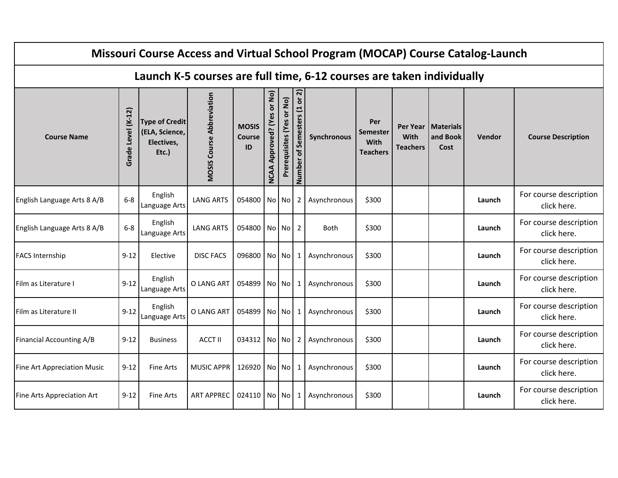|                             |                    |                                                                |                                  |                                     |                                         |                           |                                                             | Missouri Course Access and Virtual School Program (MOCAP) Course Catalog-Launch |                                                   |                                     |                                 |        |                                       |
|-----------------------------|--------------------|----------------------------------------------------------------|----------------------------------|-------------------------------------|-----------------------------------------|---------------------------|-------------------------------------------------------------|---------------------------------------------------------------------------------|---------------------------------------------------|-------------------------------------|---------------------------------|--------|---------------------------------------|
|                             |                    |                                                                |                                  |                                     |                                         |                           |                                                             | Launch K-5 courses are full time, 6-12 courses are taken individually           |                                                   |                                     |                                 |        |                                       |
| <b>Course Name</b>          | Grade Level (K-12) | <b>Type of Credit</b><br>(ELA, Science,<br>Electives,<br>Etc.) | <b>MOSIS Course Abbreviation</b> | <b>MOSIS</b><br><b>Course</b><br>ID | or No)<br>Approved? (Yes<br><b>NCAA</b> | Prerequisites (Yes or No) | ล<br>$\overleftarrow{\mathbf{o}}$<br>Number of Semesters (1 | Synchronous                                                                     | Per<br><b>Semester</b><br>With<br><b>Teachers</b> | Per Year<br>With<br><b>Teachers</b> | l Materials<br>and Book<br>Cost | Vendor | <b>Course Description</b>             |
| English Language Arts 8 A/B | $6-8$              | English<br>Language Arts                                       | <b>LANG ARTS</b>                 | 054800 No No                        |                                         |                           | $\mathbf{2}$                                                | Asynchronous                                                                    | \$300                                             |                                     |                                 | Launch | For course description<br>click here. |
| English Language Arts 8 A/B | $6-8$              | English<br>Language Arts                                       | <b>LANG ARTS</b>                 | 054800 No No                        |                                         |                           | 2                                                           | Both                                                                            | \$300                                             |                                     |                                 | Launch | For course description<br>click here. |
| <b>FACS Internship</b>      | $9 - 12$           | Elective                                                       | <b>DISC FACS</b>                 | 096800 No No                        |                                         |                           | 1                                                           | Asynchronous                                                                    | \$300                                             |                                     |                                 | Launch | For course description<br>click here. |
| Film as Literature I        | $9 - 12$           | English<br>Language Arts                                       | O LANG ART                       | 054899 No No                        |                                         |                           | $1 \mid$                                                    | Asynchronous                                                                    | \$300                                             |                                     |                                 | Launch | For course description<br>click here. |
| Film as Literature II       | $9 - 12$           | English<br>Language Arts                                       | O LANG ART                       | 054899 No No                        |                                         |                           | 1                                                           | Asynchronous                                                                    | \$300                                             |                                     |                                 | Launch | For course description<br>click here. |
| Financial Accounting A/B    | $9 - 12$           | <b>Business</b>                                                | <b>ACCT II</b>                   | 034312   No   No                    |                                         |                           | $\overline{2}$                                              | Asynchronous                                                                    | \$300                                             |                                     |                                 | Launch | For course description<br>click here. |
| Fine Art Appreciation Music | $9 - 12$           | <b>Fine Arts</b>                                               | MUSIC APPR                       | 126920 No No                        |                                         |                           | 1                                                           | Asynchronous                                                                    | \$300                                             |                                     |                                 | Launch | For course description<br>click here. |
| Fine Arts Appreciation Art  | $9 - 12$           | <b>Fine Arts</b>                                               | <b>ART APPREC</b>                | 024110 No No                        |                                         |                           | 1                                                           | Asynchronous                                                                    | \$300                                             |                                     |                                 | Launch | For course description<br>click here. |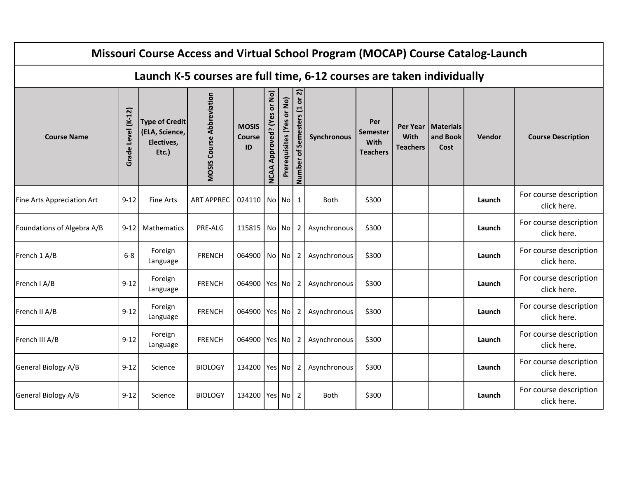|                            |                    |                                                                |                                  |                                     |                                         |                           |                                 | Missouri Course Access and Virtual School Program (MOCAP) Course Catalog-Launch |                                                   |                                     |                               |        |                                       |
|----------------------------|--------------------|----------------------------------------------------------------|----------------------------------|-------------------------------------|-----------------------------------------|---------------------------|---------------------------------|---------------------------------------------------------------------------------|---------------------------------------------------|-------------------------------------|-------------------------------|--------|---------------------------------------|
|                            |                    |                                                                |                                  |                                     |                                         |                           |                                 | Launch K-5 courses are full time, 6-12 courses are taken individually           |                                                   |                                     |                               |        |                                       |
| <b>Course Name</b>         | Grade Level (K-12) | <b>Type of Credit</b><br>(ELA, Science,<br>Electives,<br>Etc.) | <b>MOSIS Course Abbreviation</b> | <b>MOSIS</b><br><b>Course</b><br>ID | or No)<br>Approved? (Yes<br><b>NCAA</b> | Prerequisites (Yes or No) | or 2)<br>Number of Semesters (1 | Synchronous                                                                     | Per<br><b>Semester</b><br>With<br><b>Teachers</b> | Per Year<br>With<br><b>Teachers</b> | Materials<br>and Book<br>Cost | Vendor | <b>Course Description</b>             |
| Fine Arts Appreciation Art | $9 - 12$           | <b>Fine Arts</b>                                               | <b>ART APPREC</b>                | 024110 No No                        |                                         |                           | 1                               | Both                                                                            | \$300                                             |                                     |                               | Launch | For course description<br>click here. |
| Foundations of Algebra A/B | $9 - 12$           | <b>Mathematics</b>                                             | PRE-ALG                          | 115815 No No                        |                                         |                           | $\mathbf{2}$                    | Asynchronous                                                                    | \$300                                             |                                     |                               | Launch | For course description<br>click here. |
| French 1 A/B               | $6 - 8$            | Foreign<br>Language                                            | <b>FRENCH</b>                    | 064900 No No                        |                                         |                           | 2                               | Asynchronous                                                                    | \$300                                             |                                     |                               | Launch | For course description<br>click here. |
| French I A/B               | $9 - 12$           | Foreign<br>Language                                            | <b>FRENCH</b>                    | 064900 Yes No                       |                                         |                           | 2                               | Asynchronous                                                                    | \$300                                             |                                     |                               | Launch | For course description<br>click here. |
| French II A/B              | $9 - 12$           | Foreign<br>Language                                            | <b>FRENCH</b>                    | 064900 Yes No                       |                                         |                           | 2                               | Asynchronous                                                                    | \$300                                             |                                     |                               | Launch | For course description<br>click here. |
| French III A/B             | $9 - 12$           | Foreign<br>Language                                            | <b>FRENCH</b>                    | 064900   Yes   No                   |                                         |                           | 2                               | Asynchronous                                                                    | \$300                                             |                                     |                               | Launch | For course description<br>click here. |
| General Biology A/B        | $9 - 12$           | Science                                                        | <b>BIOLOGY</b>                   | 134200 Yes No                       |                                         |                           | $\overline{2}$                  | Asynchronous                                                                    | \$300                                             |                                     |                               | Launch | For course description<br>click here. |
| General Biology A/B        | $9 - 12$           | Science                                                        | <b>BIOLOGY</b>                   | 134200 Yes No                       |                                         |                           | 2                               | <b>Both</b>                                                                     | \$300                                             |                                     |                               | Launch | For course description<br>click here. |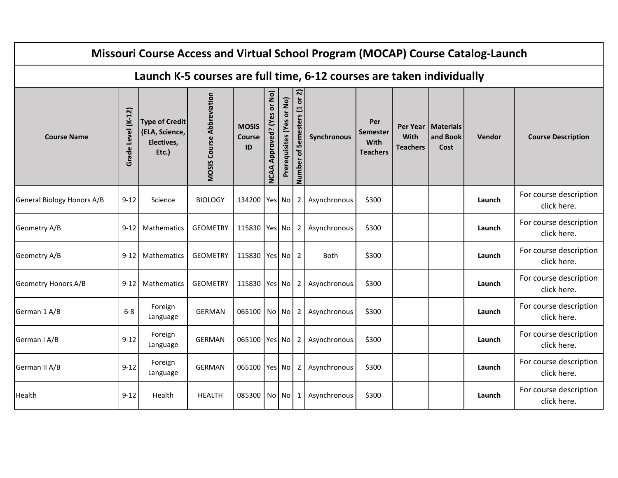|                            |                    |                                                                |                                  |                                     |                                                |                           |                                 | Missouri Course Access and Virtual School Program (MOCAP) Course Catalog-Launch |                                                   |                                            |                                      |        |                                       |
|----------------------------|--------------------|----------------------------------------------------------------|----------------------------------|-------------------------------------|------------------------------------------------|---------------------------|---------------------------------|---------------------------------------------------------------------------------|---------------------------------------------------|--------------------------------------------|--------------------------------------|--------|---------------------------------------|
|                            |                    |                                                                |                                  |                                     |                                                |                           |                                 | Launch K-5 courses are full time, 6-12 courses are taken individually           |                                                   |                                            |                                      |        |                                       |
| <b>Course Name</b>         | Grade Level (K-12) | <b>Type of Credit</b><br>(ELA, Science,<br>Electives,<br>Etc.) | <b>MOSIS Course Abbreviation</b> | <b>MOSIS</b><br><b>Course</b><br>ID | or No)<br><b>Approved?</b> (Yes<br><b>NCAA</b> | Prerequisites (Yes or No) | or 2)<br>Number of Semesters (1 | Synchronous                                                                     | Per<br><b>Semester</b><br>With<br><b>Teachers</b> | Per Year<br><b>With</b><br><b>Teachers</b> | <b>Materials</b><br>and Book<br>Cost | Vendor | <b>Course Description</b>             |
| General Biology Honors A/B | $9 - 12$           | Science                                                        | <b>BIOLOGY</b>                   | 134200 Yes No                       |                                                |                           | $\overline{2}$                  | Asynchronous                                                                    | \$300                                             |                                            |                                      | Launch | For course description<br>click here. |
| Geometry A/B               | $9 - 12$           | <b>Mathematics</b>                                             | <b>GEOMETRY</b>                  | 115830 Yes No                       |                                                |                           | $\overline{2}$                  | Asynchronous                                                                    | \$300                                             |                                            |                                      | Launch | For course description<br>click here. |
| Geometry A/B               | $9 - 12$           | Mathematics                                                    | <b>GEOMETRY</b>                  | 115830 Yes No                       |                                                |                           | 2                               | Both                                                                            | \$300                                             |                                            |                                      | Launch | For course description<br>click here. |
| Geometry Honors A/B        | $9 - 12$           | Mathematics                                                    | <b>GEOMETRY</b>                  | 115830 Yes No                       |                                                |                           | $\overline{2}$                  | Asynchronous                                                                    | \$300                                             |                                            |                                      | Launch | For course description<br>click here. |
| German 1 A/B               | $6 - 8$            | Foreign<br>Language                                            | <b>GERMAN</b>                    | 065100 No No                        |                                                |                           | $\overline{2}$                  | Asynchronous                                                                    | \$300                                             |                                            |                                      | Launch | For course description<br>click here. |
| German I A/B               | $9 - 12$           | Foreign<br>Language                                            | <b>GERMAN</b>                    | 065100 Yes No                       |                                                |                           | 2                               | Asynchronous                                                                    | \$300                                             |                                            |                                      | Launch | For course description<br>click here. |
| German II A/B              | $9 - 12$           | Foreign<br>Language                                            | <b>GERMAN</b>                    | 065100 Yes No                       |                                                |                           | 2                               | Asynchronous                                                                    | \$300                                             |                                            |                                      | Launch | For course description<br>click here. |
| Health                     | $9 - 12$           | Health                                                         | <b>HEALTH</b>                    | 085300 No No                        |                                                |                           | 1                               | Asynchronous                                                                    | \$300                                             |                                            |                                      | Launch | For course description<br>click here. |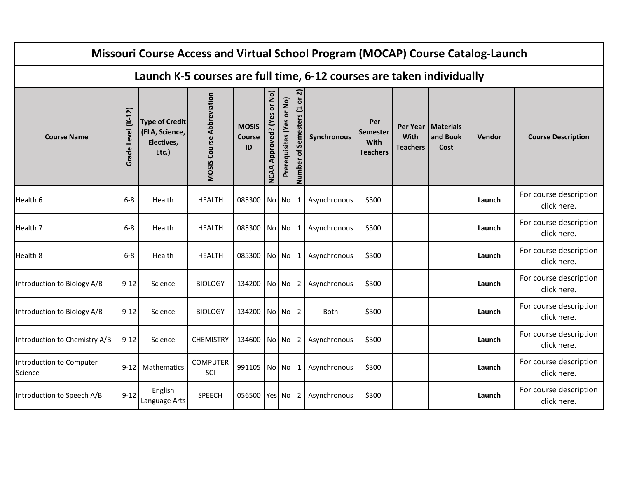|                                     |                    |                                                                |                                  |                              |                                                |                           |                                 | Missouri Course Access and Virtual School Program (MOCAP) Course Catalog-Launch |                                            |                                |                                          |        |                                       |
|-------------------------------------|--------------------|----------------------------------------------------------------|----------------------------------|------------------------------|------------------------------------------------|---------------------------|---------------------------------|---------------------------------------------------------------------------------|--------------------------------------------|--------------------------------|------------------------------------------|--------|---------------------------------------|
|                                     |                    |                                                                |                                  |                              |                                                |                           |                                 | Launch K-5 courses are full time, 6-12 courses are taken individually           |                                            |                                |                                          |        |                                       |
| <b>Course Name</b>                  | Grade Level (K-12) | <b>Type of Credit</b><br>(ELA, Science,<br>Electives,<br>Etc.) | <b>MOSIS Course Abbreviation</b> | <b>MOSIS</b><br>Course<br>ID | or No)<br><b>Approved?</b> (Yes<br><b>NCAA</b> | Prerequisites (Yes or No) | or 2)<br>Number of Semesters (1 | Synchronous                                                                     | Per<br>Semester<br>With<br><b>Teachers</b> | <b>With</b><br><b>Teachers</b> | Per Year   Materials<br>and Book<br>Cost | Vendor | <b>Course Description</b>             |
| Health 6                            | $6-8$              | Health                                                         | <b>HEALTH</b>                    | 085300 No No                 |                                                |                           | 1                               | Asynchronous                                                                    | \$300                                      |                                |                                          | Launch | For course description<br>click here. |
| Health 7                            | $6 - 8$            | Health                                                         | <b>HEALTH</b>                    | 085300 No No                 |                                                |                           | 1                               | Asynchronous                                                                    | \$300                                      |                                |                                          | Launch | For course description<br>click here. |
| Health 8                            | $6 - 8$            | Health                                                         | <b>HEALTH</b>                    | 085300 No No                 |                                                |                           | 1                               | Asynchronous                                                                    | \$300                                      |                                |                                          | Launch | For course description<br>click here. |
| Introduction to Biology A/B         | $9 - 12$           | Science                                                        | <b>BIOLOGY</b>                   | 134200 No No                 |                                                |                           | $\mathbf{2}$                    | Asynchronous                                                                    | \$300                                      |                                |                                          | Launch | For course description<br>click here. |
| Introduction to Biology A/B         | $9 - 12$           | Science                                                        | <b>BIOLOGY</b>                   | 134200 No No                 |                                                |                           | $\overline{2}$                  | <b>Both</b>                                                                     | \$300                                      |                                |                                          | Launch | For course description<br>click here. |
| Introduction to Chemistry A/B       | $9 - 12$           | Science                                                        | <b>CHEMISTRY</b>                 | 134600 No No                 |                                                |                           | 2                               | Asynchronous                                                                    | \$300                                      |                                |                                          | Launch | For course description<br>click here. |
| Introduction to Computer<br>Science | $9 - 12$           | Mathematics                                                    | <b>COMPUTER</b><br>SCI           | 991105 No No                 |                                                |                           | 1                               | Asynchronous                                                                    | \$300                                      |                                |                                          | Launch | For course description<br>click here. |
| Introduction to Speech A/B          | $9 - 12$           | English<br>Language Arts                                       | SPEECH                           | 056500 Yes No                |                                                |                           | 2                               | Asynchronous                                                                    | \$300                                      |                                |                                          | Launch | For course description<br>click here. |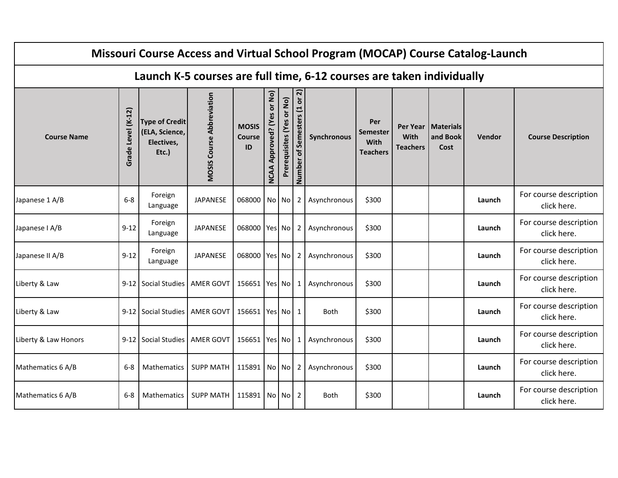|                      |                    |                                                                |                                  |                                     |                                                |                           |                                 | Missouri Course Access and Virtual School Program (MOCAP) Course Catalog-Launch |                                            |                                |                                          |        |                                       |
|----------------------|--------------------|----------------------------------------------------------------|----------------------------------|-------------------------------------|------------------------------------------------|---------------------------|---------------------------------|---------------------------------------------------------------------------------|--------------------------------------------|--------------------------------|------------------------------------------|--------|---------------------------------------|
|                      |                    |                                                                |                                  |                                     |                                                |                           |                                 | Launch K-5 courses are full time, 6-12 courses are taken individually           |                                            |                                |                                          |        |                                       |
| <b>Course Name</b>   | Grade Level (K-12) | <b>Type of Credit</b><br>(ELA, Science,<br>Electives,<br>Etc.) | <b>MOSIS Course Abbreviation</b> | <b>MOSIS</b><br><b>Course</b><br>ID | or No)<br><b>Approved?</b> (Yes<br><b>NCAA</b> | Prerequisites (Yes or No) | or 2)<br>Number of Semesters (1 | Synchronous                                                                     | Per<br>Semester<br>With<br><b>Teachers</b> | <b>With</b><br><b>Teachers</b> | Per Year   Materials<br>and Book<br>Cost | Vendor | <b>Course Description</b>             |
| Japanese 1 A/B       | $6 - 8$            | Foreign<br>Language                                            | <b>JAPANESE</b>                  | 068000 No No                        |                                                |                           | 2 <sub>1</sub>                  | Asynchronous                                                                    | \$300                                      |                                |                                          | Launch | For course description<br>click here. |
| Japanese I A/B       | $9 - 12$           | Foreign<br>Language                                            | JAPANESE                         | 068000 Yes No                       |                                                |                           | 2                               | Asynchronous                                                                    | \$300                                      |                                |                                          | Launch | For course description<br>click here. |
| Japanese II A/B      | $9 - 12$           | Foreign<br>Language                                            | JAPANESE                         | 068000 Yes No                       |                                                |                           | 2                               | Asynchronous                                                                    | \$300                                      |                                |                                          | Launch | For course description<br>click here. |
| Liberty & Law        |                    | 9-12   Social Studies   AMER GOVT                              |                                  | 156651 Yes No                       |                                                |                           | $\mathbf{1}$                    | Asynchronous                                                                    | \$300                                      |                                |                                          | Launch | For course description<br>click here. |
| Liberty & Law        |                    | 9-12 Social Studies   AMER GOVT                                |                                  | 156651 Yes No 1                     |                                                |                           |                                 | <b>Both</b>                                                                     | \$300                                      |                                |                                          | Launch | For course description<br>click here. |
| Liberty & Law Honors |                    | 9-12   Social Studies   AMER GOVT                              |                                  | 156651 Yes No                       |                                                |                           | 1                               | Asynchronous                                                                    | \$300                                      |                                |                                          | Launch | For course description<br>click here. |
| Mathematics 6 A/B    | $6 - 8$            | Mathematics                                                    | <b>SUPP MATH</b>                 | 115891   No   No                    |                                                |                           | $\overline{2}$                  | Asynchronous                                                                    | \$300                                      |                                |                                          | Launch | For course description<br>click here. |
| Mathematics 6 A/B    | $6-8$              | Mathematics                                                    | <b>SUPP MATH</b>                 | 115891 No No                        |                                                |                           | 2                               | <b>Both</b>                                                                     | \$300                                      |                                |                                          | Launch | For course description<br>click here. |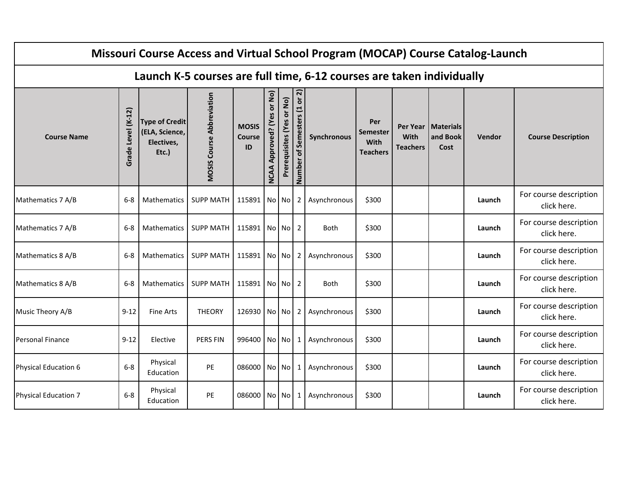|                      |                    |                                                                |                                  |                                     |                                         |                           |                                 | Missouri Course Access and Virtual School Program (MOCAP) Course Catalog-Launch |                                                   |                                            |                               |        |                                       |
|----------------------|--------------------|----------------------------------------------------------------|----------------------------------|-------------------------------------|-----------------------------------------|---------------------------|---------------------------------|---------------------------------------------------------------------------------|---------------------------------------------------|--------------------------------------------|-------------------------------|--------|---------------------------------------|
|                      |                    |                                                                |                                  |                                     |                                         |                           |                                 | Launch K-5 courses are full time, 6-12 courses are taken individually           |                                                   |                                            |                               |        |                                       |
| <b>Course Name</b>   | Grade Level (K-12) | <b>Type of Credit</b><br>(ELA, Science,<br>Electives,<br>Etc.) | <b>MOSIS Course Abbreviation</b> | <b>MOSIS</b><br><b>Course</b><br>ID | or No)<br>Approved? (Yes<br><b>NCAA</b> | Prerequisites (Yes or No) | or 2)<br>Number of Semesters (1 | Synchronous                                                                     | Per<br><b>Semester</b><br>With<br><b>Teachers</b> | Per Year<br><b>With</b><br><b>Teachers</b> | Materials<br>and Book<br>Cost | Vendor | <b>Course Description</b>             |
| Mathematics 7 A/B    | $6 - 8$            | <b>Mathematics</b>                                             | <b>SUPP MATH</b>                 | 115891 No No                        |                                         |                           | $\mathbf{2}$                    | Asynchronous                                                                    | \$300                                             |                                            |                               | Launch | For course description<br>click here. |
| Mathematics 7 A/B    | $6 - 8$            | Mathematics                                                    | SUPP MATH   115891   No   No     |                                     |                                         |                           | 2                               | <b>Both</b>                                                                     | \$300                                             |                                            |                               | Launch | For course description<br>click here. |
| Mathematics 8 A/B    | $6-8$              | Mathematics                                                    | <b>SUPP MATH</b>                 | 115891 No No                        |                                         |                           | 2                               | Asynchronous                                                                    | \$300                                             |                                            |                               | Launch | For course description<br>click here. |
| Mathematics 8 A/B    | $6 - 8$            | Mathematics                                                    | <b>SUPP MATH</b>                 | 115891 No No                        |                                         |                           | 2                               | <b>Both</b>                                                                     | \$300                                             |                                            |                               | Launch | For course description<br>click here. |
| Music Theory A/B     | $9 - 12$           | <b>Fine Arts</b>                                               | <b>THEORY</b>                    | 126930 No No                        |                                         |                           | 2                               | Asynchronous                                                                    | \$300                                             |                                            |                               | Launch | For course description<br>click here. |
| Personal Finance     | $9 - 12$           | Elective                                                       | PERS FIN                         | 996400 No No                        |                                         |                           | 1                               | Asynchronous                                                                    | \$300                                             |                                            |                               | Launch | For course description<br>click here. |
| Physical Education 6 | $6-8$              | Physical<br>Education                                          | PE                               | 086000 No No                        |                                         |                           | 1                               | Asynchronous                                                                    | \$300                                             |                                            |                               | Launch | For course description<br>click here. |
| Physical Education 7 | $6-8$              | Physical<br>Education                                          | PE                               | 086000 No No                        |                                         |                           | 1                               | Asynchronous                                                                    | \$300                                             |                                            |                               | Launch | For course description<br>click here. |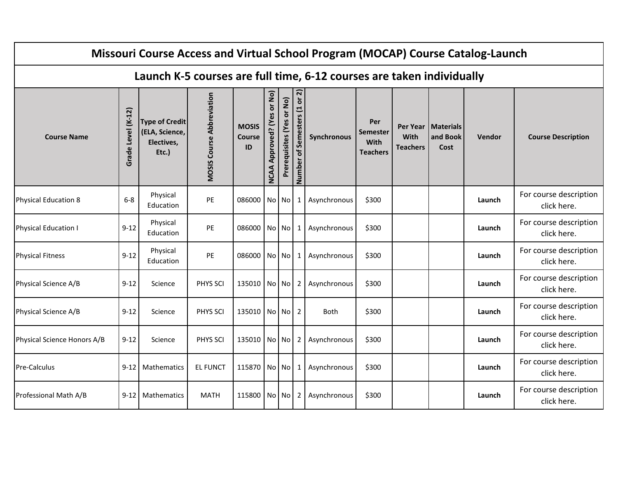|                                                                                                                                                               |                    |                                                                |                                  |                                     |                                         |                           |                                   | Missouri Course Access and Virtual School Program (MOCAP) Course Catalog-Launch |                                                   |                                     |                                      |        |                                       |  |
|---------------------------------------------------------------------------------------------------------------------------------------------------------------|--------------------|----------------------------------------------------------------|----------------------------------|-------------------------------------|-----------------------------------------|---------------------------|-----------------------------------|---------------------------------------------------------------------------------|---------------------------------------------------|-------------------------------------|--------------------------------------|--------|---------------------------------------|--|
|                                                                                                                                                               |                    |                                                                |                                  |                                     |                                         |                           |                                   | Launch K-5 courses are full time, 6-12 courses are taken individually           |                                                   |                                     |                                      |        |                                       |  |
| <b>Course Name</b>                                                                                                                                            | Grade Level (K-12) | <b>Type of Credit</b><br>(ELA, Science,<br>Electives,<br>Etc.) | <b>MOSIS Course Abbreviation</b> | <b>MOSIS</b><br><b>Course</b><br>ID | or No)<br>Approved? (Yes<br><b>NCAA</b> | Prerequisites (Yes or No) | or $2)$<br>Number of Semesters (1 | Synchronous                                                                     | Per<br><b>Semester</b><br>With<br><b>Teachers</b> | Per Year<br>With<br><b>Teachers</b> | <b>Materials</b><br>and Book<br>Cost | Vendor | <b>Course Description</b>             |  |
| For course description<br>Physical<br>$6-8$<br>Physical Education 8<br>PE<br>086000 No No<br>Asynchronous<br>\$300<br>1<br>Launch<br>Education<br>click here. |                    |                                                                |                                  |                                     |                                         |                           |                                   |                                                                                 |                                                   |                                     |                                      |        |                                       |  |
| <b>Physical Education I</b>                                                                                                                                   | $9 - 12$           | Physical<br>Education                                          | PE                               | 086000 No No                        |                                         |                           | $\mathbf{1}$                      | Asynchronous                                                                    | \$300                                             |                                     |                                      | Launch | For course description<br>click here. |  |
| <b>Physical Fitness</b>                                                                                                                                       | $9 - 12$           | Physical<br>Education                                          | PE                               | 086000 No No                        |                                         |                           | 1                                 | Asynchronous                                                                    | \$300                                             |                                     |                                      | Launch | For course description<br>click here. |  |
| Physical Science A/B                                                                                                                                          | $9 - 12$           | Science                                                        | PHYS SCI                         | 135010 No No                        |                                         |                           | $\mathbf{2}$                      | Asynchronous                                                                    | \$300                                             |                                     |                                      | Launch | For course description<br>click here. |  |
| Physical Science A/B                                                                                                                                          | $9 - 12$           | Science                                                        | PHYS SCI                         | 135010 No No                        |                                         |                           | 2                                 | Both                                                                            | \$300                                             |                                     |                                      | Launch | For course description<br>click here. |  |
| Physical Science Honors A/B                                                                                                                                   | $9 - 12$           | Science                                                        | PHYS SCI                         | 135010 No No                        |                                         |                           | 2                                 | Asynchronous                                                                    | \$300                                             |                                     |                                      | Launch | For course description<br>click here. |  |
| <b>Pre-Calculus</b>                                                                                                                                           | $9 - 12$           | Mathematics                                                    | <b>EL FUNCT</b>                  | 115870 No No                        |                                         |                           | 1                                 | Asynchronous                                                                    | \$300                                             |                                     |                                      | Launch | For course description<br>click here. |  |
| Professional Math A/B                                                                                                                                         | $9 - 12$           | <b>Mathematics</b>                                             | <b>MATH</b>                      | 115800 No No                        |                                         |                           | 2                                 | Asynchronous                                                                    | \$300                                             |                                     |                                      | Launch | For course description<br>click here. |  |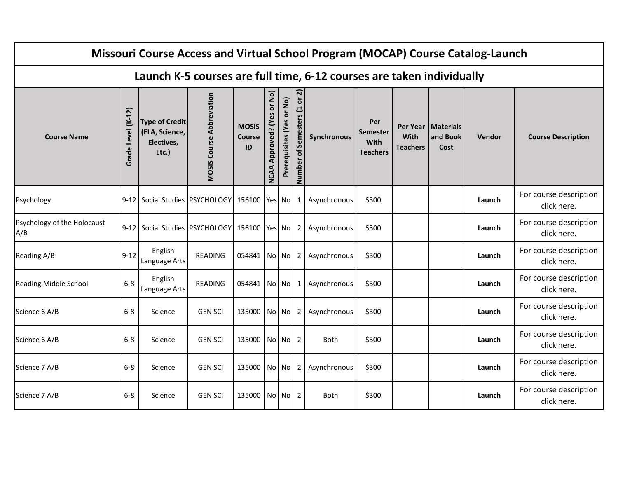|                                    |                    |                                                                |                                  |                                     |                                         |                           |                                 | Missouri Course Access and Virtual School Program (MOCAP) Course Catalog-Launch |                                                   |                                                   |                                      |        |                                       |
|------------------------------------|--------------------|----------------------------------------------------------------|----------------------------------|-------------------------------------|-----------------------------------------|---------------------------|---------------------------------|---------------------------------------------------------------------------------|---------------------------------------------------|---------------------------------------------------|--------------------------------------|--------|---------------------------------------|
|                                    |                    |                                                                |                                  |                                     |                                         |                           |                                 | Launch K-5 courses are full time, 6-12 courses are taken individually           |                                                   |                                                   |                                      |        |                                       |
| <b>Course Name</b>                 | Grade Level (K-12) | <b>Type of Credit</b><br>(ELA, Science,<br>Electives,<br>Etc.) | <b>MOSIS Course Abbreviation</b> | <b>MOSIS</b><br><b>Course</b><br>ID | or No)<br>Approved? (Yes<br><b>NCAA</b> | Prerequisites (Yes or No) | or 2)<br>Number of Semesters (1 | Synchronous                                                                     | Per<br><b>Semester</b><br>With<br><b>Teachers</b> | <b>Per Year</b><br><b>With</b><br><b>Teachers</b> | <b>Materials</b><br>and Book<br>Cost | Vendor | <b>Course Description</b>             |
| Psychology                         | $9 - 12$           | Social Studies   PSYCHOLOGY   156100   Yes   No                |                                  |                                     |                                         |                           | 1                               | Asynchronous                                                                    | \$300                                             |                                                   |                                      | Launch | For course description<br>click here. |
| Psychology of the Holocaust<br>A/B |                    | 9-12 Social Studies PSYCHOLOGY 156100   Yes No                 |                                  |                                     |                                         |                           | $2^{\circ}$                     | Asynchronous                                                                    | \$300                                             |                                                   |                                      | Launch | For course description<br>click here. |
| Reading A/B                        | $9 - 12$           | English<br>Language Arts                                       | READING                          | 054841 No No                        |                                         |                           | 2                               | Asynchronous                                                                    | \$300                                             |                                                   |                                      | Launch | For course description<br>click here. |
| <b>Reading Middle School</b>       | $6-8$              | English<br>Language Arts                                       | READING                          | 054841 No No                        |                                         |                           | 1                               | Asynchronous                                                                    | \$300                                             |                                                   |                                      | Launch | For course description<br>click here. |
| Science 6 A/B                      | $6-8$              | Science                                                        | <b>GEN SCI</b>                   | 135000 No No                        |                                         |                           | $\overline{2}$                  | Asynchronous                                                                    | \$300                                             |                                                   |                                      | Launch | For course description<br>click here. |
| Science 6 A/B                      | $6-8$              | Science                                                        | <b>GEN SCI</b>                   | 135000 No No                        |                                         |                           | $\overline{2}$                  | Both                                                                            | \$300                                             |                                                   |                                      | Launch | For course description<br>click here. |
| Science 7 A/B                      | $6 - 8$            | Science                                                        | <b>GEN SCI</b>                   | 135000 No No                        |                                         |                           | 2                               | Asynchronous                                                                    | \$300                                             |                                                   |                                      | Launch | For course description<br>click here. |
| Science 7 A/B                      | $6-8$              | Science                                                        | <b>GEN SCI</b>                   | 135000 No No                        |                                         |                           | $\overline{2}$                  | <b>Both</b>                                                                     | \$300                                             |                                                   |                                      | Launch | For course description<br>click here. |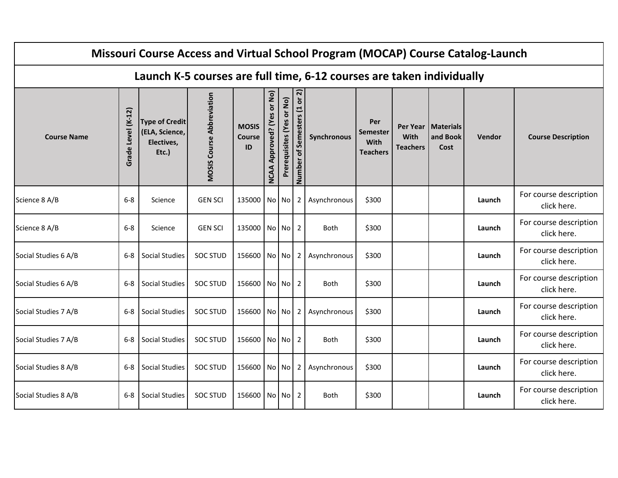|                      |                    |                                                                |                                  |                                     |                                         |                           |                                 | Missouri Course Access and Virtual School Program (MOCAP) Course Catalog-Launch |                                                   |                                     |                                      |        |                                       |
|----------------------|--------------------|----------------------------------------------------------------|----------------------------------|-------------------------------------|-----------------------------------------|---------------------------|---------------------------------|---------------------------------------------------------------------------------|---------------------------------------------------|-------------------------------------|--------------------------------------|--------|---------------------------------------|
|                      |                    |                                                                |                                  |                                     |                                         |                           |                                 | Launch K-5 courses are full time, 6-12 courses are taken individually           |                                                   |                                     |                                      |        |                                       |
| <b>Course Name</b>   | Grade Level (K-12) | <b>Type of Credit</b><br>(ELA, Science,<br>Electives,<br>Etc.) | <b>MOSIS Course Abbreviation</b> | <b>MOSIS</b><br><b>Course</b><br>ID | or No)<br>Approved? (Yes<br><b>NCAA</b> | Prerequisites (Yes or No) | or 2)<br>Number of Semesters (1 | Synchronous                                                                     | Per<br><b>Semester</b><br>With<br><b>Teachers</b> | Per Year<br>With<br><b>Teachers</b> | <b>Materials</b><br>and Book<br>Cost | Vendor | <b>Course Description</b>             |
| Science 8 A/B        | $6-8$              | Science                                                        | <b>GEN SCI</b>                   | 135000 No No                        |                                         |                           | 2                               | Asynchronous                                                                    | \$300                                             |                                     |                                      | Launch | For course description<br>click here. |
| Science 8 A/B        | $6-8$              | Science                                                        | <b>GEN SCI</b>                   | 135000 No No                        |                                         |                           | 2                               | <b>Both</b>                                                                     | \$300                                             |                                     |                                      | Launch | For course description<br>click here. |
| Social Studies 6 A/B | $6-8$              | <b>Social Studies</b>                                          | <b>SOC STUD</b>                  | 156600 No No                        |                                         |                           | 2                               | Asynchronous                                                                    | \$300                                             |                                     |                                      | Launch | For course description<br>click here. |
| Social Studies 6 A/B | $6-8$              | Social Studies                                                 | <b>SOC STUD</b>                  | 156600 No No                        |                                         |                           | 2                               | <b>Both</b>                                                                     | \$300                                             |                                     |                                      | Launch | For course description<br>click here. |
| Social Studies 7 A/B | $6-8$              | <b>Social Studies</b>                                          | <b>SOC STUD</b>                  | 156600 No No                        |                                         |                           | 2                               | Asynchronous                                                                    | \$300                                             |                                     |                                      | Launch | For course description<br>click here. |
| Social Studies 7 A/B | $6 - 8$            | Social Studies                                                 | <b>SOC STUD</b>                  | 156600 No No                        |                                         |                           | 2                               | Both                                                                            | \$300                                             |                                     |                                      | Launch | For course description<br>click here. |
| Social Studies 8 A/B | 6-8                | <b>Social Studies</b>                                          | <b>SOC STUD</b>                  | 156600 No No                        |                                         |                           | $2^{\circ}$                     | Asynchronous                                                                    | \$300                                             |                                     |                                      | Launch | For course description<br>click here. |
| Social Studies 8 A/B | $6-8$              | <b>Social Studies</b>                                          | <b>SOC STUD</b>                  | 156600 No No                        |                                         |                           | 2                               | <b>Both</b>                                                                     | \$300                                             |                                     |                                      | Launch | For course description<br>click here. |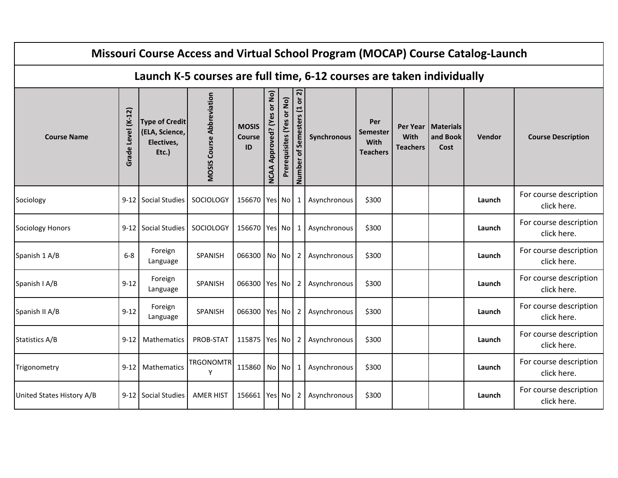|                           |                    |                                                                |                                  |                                     |                                                |                           |                              | Missouri Course Access and Virtual School Program (MOCAP) Course Catalog-Launch |                                            |                                |                                          |        |                                       |
|---------------------------|--------------------|----------------------------------------------------------------|----------------------------------|-------------------------------------|------------------------------------------------|---------------------------|------------------------------|---------------------------------------------------------------------------------|--------------------------------------------|--------------------------------|------------------------------------------|--------|---------------------------------------|
|                           |                    |                                                                |                                  |                                     |                                                |                           |                              | Launch K-5 courses are full time, 6-12 courses are taken individually           |                                            |                                |                                          |        |                                       |
| <b>Course Name</b>        | Grade Level (K-12) | <b>Type of Credit</b><br>(ELA, Science,<br>Electives,<br>Etc.) | <b>MOSIS Course Abbreviation</b> | <b>MOSIS</b><br><b>Course</b><br>ID | or No)<br><b>Approved?</b> (Yes<br><b>NCAA</b> | Prerequisites (Yes or No) | Number of Semesters (1 or 2) | Synchronous                                                                     | Per<br>Semester<br>With<br><b>Teachers</b> | <b>With</b><br><b>Teachers</b> | Per Year   Materials<br>and Book<br>Cost | Vendor | <b>Course Description</b>             |
| Sociology                 | $9 - 12$           | Social Studies                                                 | SOCIOLOGY                        | 156670 Yes No                       |                                                |                           | 1                            | Asynchronous                                                                    | \$300                                      |                                |                                          | Launch | For course description<br>click here. |
| <b>Sociology Honors</b>   | $9 - 12$           | Social Studies                                                 | SOCIOLOGY                        | 156670 Yes No                       |                                                |                           | $1\vert$                     | Asynchronous                                                                    | \$300                                      |                                |                                          | Launch | For course description<br>click here. |
| Spanish 1 A/B             | $6-8$              | Foreign<br>Language                                            | SPANISH                          | 066300 No No                        |                                                |                           | 2                            | Asynchronous                                                                    | \$300                                      |                                |                                          | Launch | For course description<br>click here. |
| Spanish I A/B             | $9 - 12$           | Foreign<br>Language                                            | SPANISH                          | 066300 Yes No                       |                                                |                           | $\mathbf{2}$                 | Asynchronous                                                                    | \$300                                      |                                |                                          | Launch | For course description<br>click here. |
| Spanish II A/B            | $9 - 12$           | Foreign<br>Language                                            | SPANISH                          | 066300 Yes No                       |                                                |                           | 2                            | Asynchronous                                                                    | \$300                                      |                                |                                          | Launch | For course description<br>click here. |
| <b>Statistics A/B</b>     | $9 - 12$           | <b>Mathematics</b>                                             | PROB-STAT                        | 115875 Yes No                       |                                                |                           | 2                            | Asynchronous                                                                    | \$300                                      |                                |                                          | Launch | For course description<br>click here. |
| Trigonometry              | $9 - 12$           | Mathematics                                                    | <b>TRGONOMTR</b><br>Y            | 115860 No No                        |                                                |                           | 1                            | Asynchronous                                                                    | \$300                                      |                                |                                          | Launch | For course description<br>click here. |
| United States History A/B | $9 - 12$           | Social Studies                                                 | <b>AMER HIST</b>                 | 156661 Yes No                       |                                                |                           | 2                            | Asynchronous                                                                    | \$300                                      |                                |                                          | Launch | For course description<br>click here. |